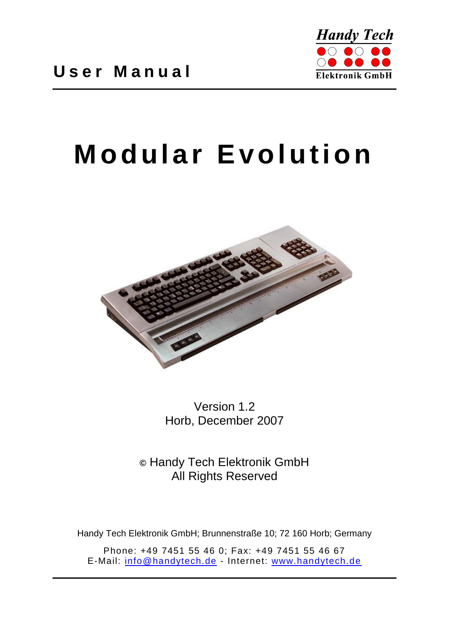

# **Modular Evolution**



Version 1.2 Horb, December 2007

**©** Handy Tech Elektronik GmbH All Rights Reserved

Handy Tech Elektronik GmbH; Brunnenstraße 10; 72 160 Horb; Germany

Phone: +49 7451 55 46 0; Fax: +49 7451 55 46 67 E-Mail: [info@handytech.de](mailto:info@handytech.de) - Internet: [www.handytech.de](http://www.handytech.de/)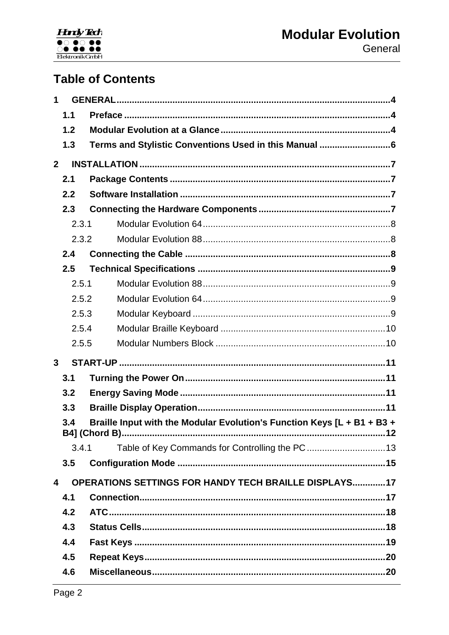

# **Table of Contents**

| 1              |       |                                                                               |  |  |
|----------------|-------|-------------------------------------------------------------------------------|--|--|
|                | 1.1   |                                                                               |  |  |
|                | 1.2   |                                                                               |  |  |
|                | 1.3   | Terms and Stylistic Conventions Used in this Manual 6                         |  |  |
| $\overline{2}$ |       |                                                                               |  |  |
|                | 2.1   |                                                                               |  |  |
|                | 2.2   |                                                                               |  |  |
|                | 2.3   |                                                                               |  |  |
|                | 2.3.1 |                                                                               |  |  |
|                | 2.3.2 |                                                                               |  |  |
|                | 2.4   |                                                                               |  |  |
|                | 2.5   |                                                                               |  |  |
|                | 2.5.1 |                                                                               |  |  |
|                | 2.5.2 |                                                                               |  |  |
|                | 2.5.3 |                                                                               |  |  |
|                | 2.5.4 |                                                                               |  |  |
|                | 2.5.5 |                                                                               |  |  |
| 3              |       |                                                                               |  |  |
|                | 3.1   |                                                                               |  |  |
|                | 3.2   |                                                                               |  |  |
|                | 3.3   |                                                                               |  |  |
|                | 3.4   | Braille Input with the Modular Evolution's Function Keys [L + B1 + B3 +<br>12 |  |  |
|                | 3.4.1 | Table of Key Commands for Controlling the PC13                                |  |  |
|                | 3.5   |                                                                               |  |  |
| 4              |       | <b>OPERATIONS SETTINGS FOR HANDY TECH BRAILLE DISPLAYS17</b>                  |  |  |
|                | 4.1   |                                                                               |  |  |
|                | 4.2   |                                                                               |  |  |
|                | 4.3   |                                                                               |  |  |
|                | 4.4   |                                                                               |  |  |
|                | 4.5   |                                                                               |  |  |
|                | 4.6   |                                                                               |  |  |
|                |       |                                                                               |  |  |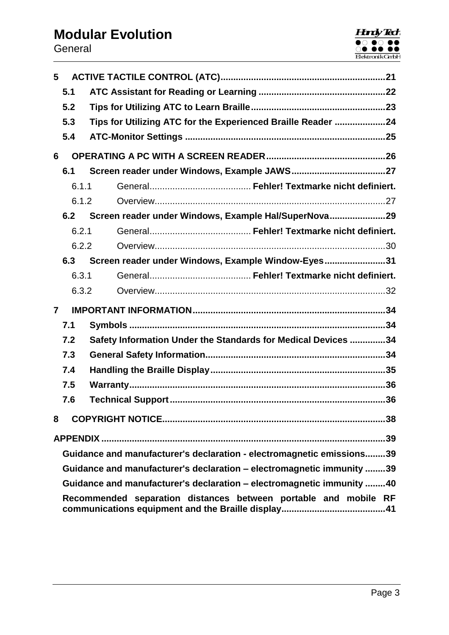# **Modular Evolution**

**General** 

| 5              |                                                                       |                                                               |  |  |  |
|----------------|-----------------------------------------------------------------------|---------------------------------------------------------------|--|--|--|
| 5.1            |                                                                       |                                                               |  |  |  |
|                | 5.2                                                                   |                                                               |  |  |  |
|                | 5.3                                                                   | Tips for Utilizing ATC for the Experienced Braille Reader 24  |  |  |  |
|                | 5.4                                                                   |                                                               |  |  |  |
| 6              |                                                                       |                                                               |  |  |  |
|                | 6.1                                                                   |                                                               |  |  |  |
|                | 6.1.1                                                                 |                                                               |  |  |  |
|                | 6.1.2                                                                 |                                                               |  |  |  |
|                | 6.2                                                                   | Screen reader under Windows, Example Hal/SuperNova29          |  |  |  |
|                | 6.2.1                                                                 |                                                               |  |  |  |
|                | 6.2.2                                                                 |                                                               |  |  |  |
|                | 6.3                                                                   | Screen reader under Windows, Example Window-Eyes31            |  |  |  |
|                | 6.3.1                                                                 |                                                               |  |  |  |
|                | 6.3.2                                                                 |                                                               |  |  |  |
| $\overline{7}$ |                                                                       |                                                               |  |  |  |
|                | 7.1                                                                   |                                                               |  |  |  |
|                | 7.2                                                                   | Safety Information Under the Standards for Medical Devices 34 |  |  |  |
|                | 7.3                                                                   |                                                               |  |  |  |
|                | 7.4                                                                   |                                                               |  |  |  |
|                | 7.5                                                                   |                                                               |  |  |  |
|                | 7.6                                                                   |                                                               |  |  |  |
| 8              |                                                                       |                                                               |  |  |  |
|                |                                                                       |                                                               |  |  |  |
|                | Guidance and manufacturer's declaration - electromagnetic emissions39 |                                                               |  |  |  |
|                |                                                                       |                                                               |  |  |  |
|                | Guidance and manufacturer's declaration - electromagnetic immunity 39 |                                                               |  |  |  |
|                | Guidance and manufacturer's declaration - electromagnetic immunity 40 |                                                               |  |  |  |
|                | Recommended separation distances between portable and mobile RF       |                                                               |  |  |  |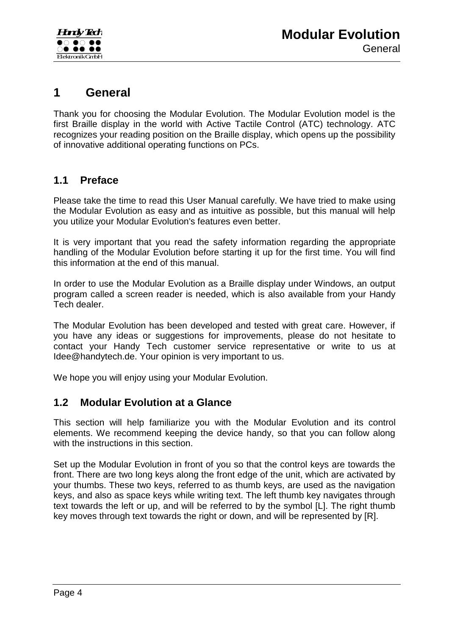

# <span id="page-3-0"></span>**1 General**

Thank you for choosing the Modular Evolution. The Modular Evolution model is the first Braille display in the world with Active Tactile Control (ATC) technology. ATC recognizes your reading position on the Braille display, which opens up the possibility of innovative additional operating functions on PCs.

### <span id="page-3-1"></span>**1.1 Preface**

Please take the time to read this User Manual carefully. We have tried to make using the Modular Evolution as easy and as intuitive as possible, but this manual will help you utilize your Modular Evolution's features even better.

It is very important that you read the safety information regarding the appropriate handling of the Modular Evolution before starting it up for the first time. You will find this information at the end of this manual.

In order to use the Modular Evolution as a Braille display under Windows, an output program called a screen reader is needed, which is also available from your Handy Tech dealer.

The Modular Evolution has been developed and tested with great care. However, if you have any ideas or suggestions for improvements, please do not hesitate to contact your Handy Tech customer service representative or write to us at Idee@handytech.de. Your opinion is very important to us.

<span id="page-3-2"></span>We hope you will enjoy using your Modular Evolution.

### **1.2 Modular Evolution at a Glance**

This section will help familiarize you with the Modular Evolution and its control elements. We recommend keeping the device handy, so that you can follow along with the instructions in this section.

Set up the Modular Evolution in front of you so that the control keys are towards the front. There are two long keys along the front edge of the unit, which are activated by your thumbs. These two keys, referred to as thumb keys, are used as the navigation keys, and also as space keys while writing text. The left thumb key navigates through text towards the left or up, and will be referred to by the symbol [L]. The right thumb key moves through text towards the right or down, and will be represented by [R].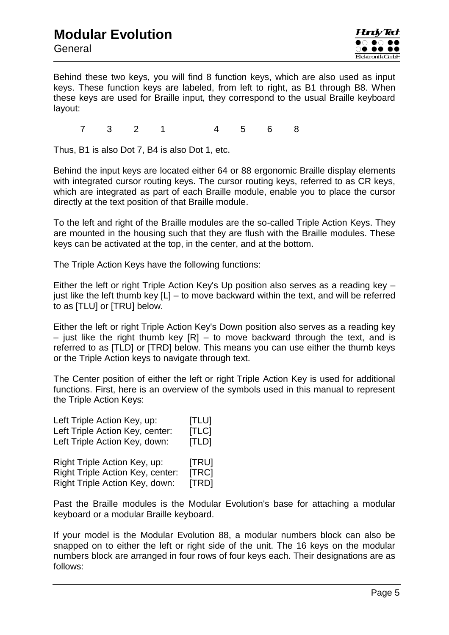Behind these two keys, you will find 8 function keys, which are also used as input keys. These function keys are labeled, from left to right, as B1 through B8. When these keys are used for Braille input, they correspond to the usual Braille keyboard layout:

7 3 2 1 4 5 6 8

Thus, B1 is also Dot 7, B4 is also Dot 1, etc.

Behind the input keys are located either 64 or 88 ergonomic Braille display elements with integrated cursor routing keys. The cursor routing keys, referred to as CR keys, which are integrated as part of each Braille module, enable you to place the cursor directly at the text position of that Braille module.

To the left and right of the Braille modules are the so-called Triple Action Keys. They are mounted in the housing such that they are flush with the Braille modules. These keys can be activated at the top, in the center, and at the bottom.

The Triple Action Keys have the following functions:

Either the left or right Triple Action Key's Up position also serves as a reading key – just like the left thumb key [L] – to move backward within the text, and will be referred to as [TLU] or [TRU] below.

Either the left or right Triple Action Key's Down position also serves as a reading key – just like the right thumb key  $[R]$  – to move backward through the text, and is referred to as [TLD] or [TRD] below. This means you can use either the thumb keys or the Triple Action keys to navigate through text.

The Center position of either the left or right Triple Action Key is used for additional functions. First, here is an overview of the symbols used in this manual to represent the Triple Action Keys:

| Left Triple Action Key, up:      | <b>[TLU]</b> |
|----------------------------------|--------------|
| Left Triple Action Key, center:  | [TLC]        |
| Left Triple Action Key, down:    | [TLD]        |
| Right Triple Action Key, up:     | <b>ITRUI</b> |
| Right Triple Action Key, center: | [TRC]        |
| Right Triple Action Key, down:   | [TRD]        |

Past the Braille modules is the Modular Evolution's base for attaching a modular keyboard or a modular Braille keyboard.

If your model is the Modular Evolution 88, a modular numbers block can also be snapped on to either the left or right side of the unit. The 16 keys on the modular numbers block are arranged in four rows of four keys each. Their designations are as follows: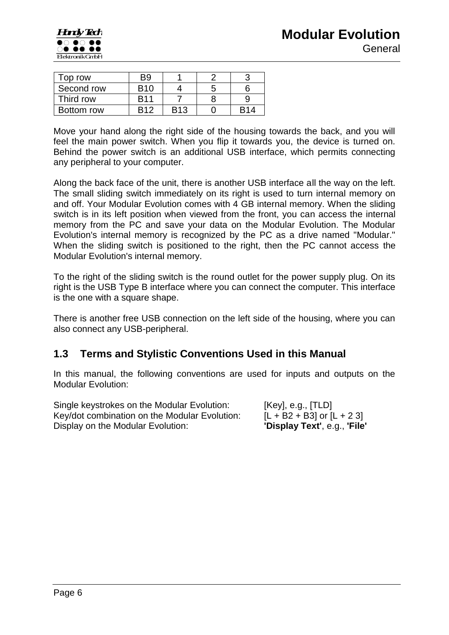

| Top row    | Β9  |            |   |  |
|------------|-----|------------|---|--|
| Second row | R10 |            | G |  |
| Third row  | R11 |            |   |  |
| Bottom row | R12 | <b>R13</b> |   |  |

Move your hand along the right side of the housing towards the back, and you will feel the main power switch. When you flip it towards you, the device is turned on. Behind the power switch is an additional USB interface, which permits connecting any peripheral to your computer.

Along the back face of the unit, there is another USB interface all the way on the left. The small sliding switch immediately on its right is used to turn internal memory on and off. Your Modular Evolution comes with 4 GB internal memory. When the sliding switch is in its left position when viewed from the front, you can access the internal memory from the PC and save your data on the Modular Evolution. The Modular Evolution's internal memory is recognized by the PC as a drive named "Modular." When the sliding switch is positioned to the right, then the PC cannot access the Modular Evolution's internal memory.

To the right of the sliding switch is the round outlet for the power supply plug. On its right is the USB Type B interface where you can connect the computer. This interface is the one with a square shape.

There is another free USB connection on the left side of the housing, where you can also connect any USB-peripheral.

### <span id="page-5-0"></span>**1.3 Terms and Stylistic Conventions Used in this Manual**

In this manual, the following conventions are used for inputs and outputs on the Modular Evolution:

| Single keystrokes on the Modular Evolution:   | [Key], e.g., [TLD]           |
|-----------------------------------------------|------------------------------|
| Key/dot combination on the Modular Evolution: | [L + B2 + B3] or [L + 2 3]   |
| Display on the Modular Evolution:             | 'Display Text', e.g., 'File' |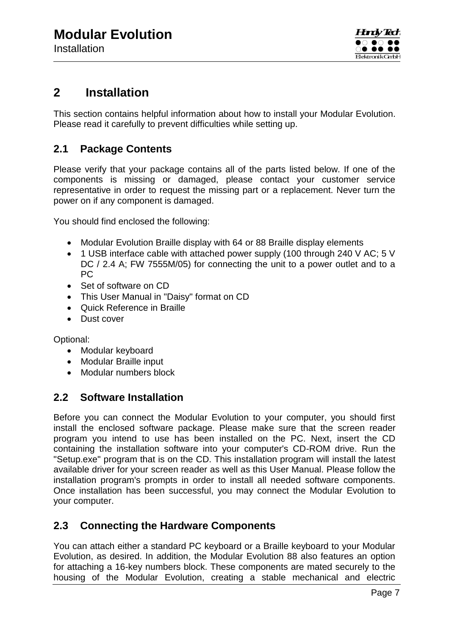# <span id="page-6-0"></span>**2 Installation**

This section contains helpful information about how to install your Modular Evolution. Please read it carefully to prevent difficulties while setting up.

### <span id="page-6-1"></span>**2.1 Package Contents**

Please verify that your package contains all of the parts listed below. If one of the components is missing or damaged, please contact your customer service representative in order to request the missing part or a replacement. Never turn the power on if any component is damaged.

You should find enclosed the following:

- Modular Evolution Braille display with 64 or 88 Braille display elements
- 1 USB interface cable with attached power supply (100 through 240 V AC; 5 V DC / 2.4 A; FW 7555M/05) for connecting the unit to a power outlet and to a PC
- Set of software on CD
- This User Manual in "Daisy" format on CD
- Quick Reference in Braille
- Dust cover

Optional:

- Modular keyboard
- Modular Braille input
- Modular numbers block

### <span id="page-6-2"></span>**2.2 Software Installation**

Before you can connect the Modular Evolution to your computer, you should first install the enclosed software package. Please make sure that the screen reader program you intend to use has been installed on the PC. Next, insert the CD containing the installation software into your computer's CD-ROM drive. Run the "Setup.exe" program that is on the CD. This installation program will install the latest available driver for your screen reader as well as this User Manual. Please follow the installation program's prompts in order to install all needed software components. Once installation has been successful, you may connect the Modular Evolution to your computer.

### <span id="page-6-3"></span>**2.3 Connecting the Hardware Components**

You can attach either a standard PC keyboard or a Braille keyboard to your Modular Evolution, as desired. In addition, the Modular Evolution 88 also features an option for attaching a 16-key numbers block. These components are mated securely to the housing of the Modular Evolution, creating a stable mechanical and electric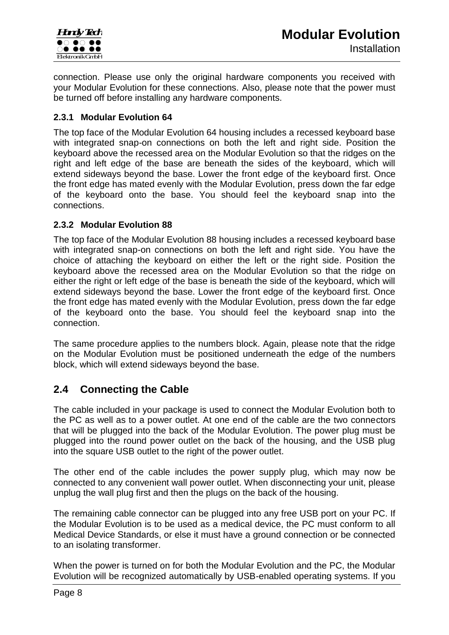

connection. Please use only the original hardware components you received with your Modular Evolution for these connections. Also, please note that the power must be turned off before installing any hardware components.

#### <span id="page-7-0"></span>**2.3.1 Modular Evolution 64**

The top face of the Modular Evolution 64 housing includes a recessed keyboard base with integrated snap-on connections on both the left and right side. Position the keyboard above the recessed area on the Modular Evolution so that the ridges on the right and left edge of the base are beneath the sides of the keyboard, which will extend sideways beyond the base. Lower the front edge of the keyboard first. Once the front edge has mated evenly with the Modular Evolution, press down the far edge of the keyboard onto the base. You should feel the keyboard snap into the connections.

#### <span id="page-7-1"></span>**2.3.2 Modular Evolution 88**

The top face of the Modular Evolution 88 housing includes a recessed keyboard base with integrated snap-on connections on both the left and right side. You have the choice of attaching the keyboard on either the left or the right side. Position the keyboard above the recessed area on the Modular Evolution so that the ridge on either the right or left edge of the base is beneath the side of the keyboard, which will extend sideways beyond the base. Lower the front edge of the keyboard first. Once the front edge has mated evenly with the Modular Evolution, press down the far edge of the keyboard onto the base. You should feel the keyboard snap into the connection.

The same procedure applies to the numbers block. Again, please note that the ridge on the Modular Evolution must be positioned underneath the edge of the numbers block, which will extend sideways beyond the base.

# <span id="page-7-2"></span>**2.4 Connecting the Cable**

The cable included in your package is used to connect the Modular Evolution both to the PC as well as to a power outlet. At one end of the cable are the two connectors that will be plugged into the back of the Modular Evolution. The power plug must be plugged into the round power outlet on the back of the housing, and the USB plug into the square USB outlet to the right of the power outlet.

The other end of the cable includes the power supply plug, which may now be connected to any convenient wall power outlet. When disconnecting your unit, please unplug the wall plug first and then the plugs on the back of the housing.

The remaining cable connector can be plugged into any free USB port on your PC. If the Modular Evolution is to be used as a medical device, the PC must conform to all Medical Device Standards, or else it must have a ground connection or be connected to an isolating transformer.

When the power is turned on for both the Modular Evolution and the PC, the Modular Evolution will be recognized automatically by USB-enabled operating systems. If you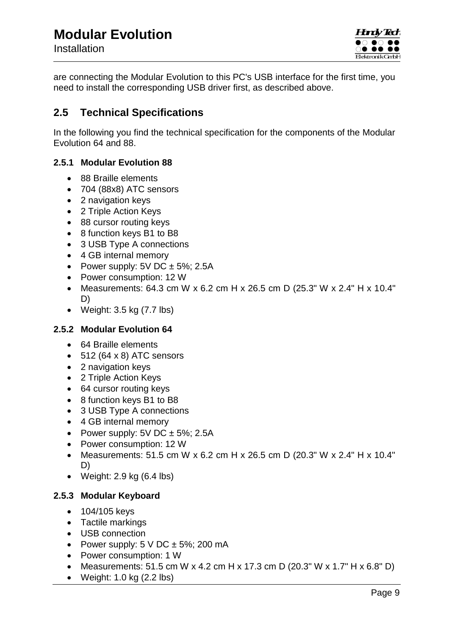are connecting the Modular Evolution to this PC's USB interface for the first time, you need to install the corresponding USB driver first, as described above.

# <span id="page-8-0"></span>**2.5 Technical Specifications**

In the following you find the technical specification for the components of the Modular Evolution 64 and 88.

#### <span id="page-8-1"></span>**2.5.1 Modular Evolution 88**

- 88 Braille elements
- 704 (88x8) ATC sensors
- 2 navigation keys
- 2 Triple Action Keys
- 88 cursor routing keys
- 8 function keys B1 to B8
- 3 USB Type A connections
- 4 GB internal memory
- Power supply:  $5V$  DC  $\pm$  5%; 2.5A
- Power consumption: 12 W
- Measurements: 64.3 cm W x 6.2 cm H x 26.5 cm D (25.3" W x 2.4" H x 10.4" D)
- $\bullet$  Weight: 3.5 kg  $(7.7 \text{ lbs})$

#### <span id="page-8-2"></span>**2.5.2 Modular Evolution 64**

- 64 Braille elements
- $\bullet$  512 (64 x 8) ATC sensors
- 2 navigation keys
- 2 Triple Action Keys
- 64 cursor routing keys
- 8 function keys B1 to B8
- 3 USB Type A connections
- 4 GB internal memory
- Power supply:  $5V$  DC  $\pm$  5%; 2.5A
- Power consumption: 12 W
- Measurements: 51.5 cm W x 6.2 cm H x 26.5 cm D (20.3" W x 2.4" H x 10.4" D)
- $\bullet$  Weight: 2.9 kg (6.4 lbs)

#### <span id="page-8-3"></span>**2.5.3 Modular Keyboard**

- 104/105 keys
- Tactile markings
- USB connection
- Power supply:  $5 \vee DC \pm 5\%$ ; 200 mA
- Power consumption: 1 W
- Measurements: 51.5 cm W x 4.2 cm H x 17.3 cm D (20.3" W x 1.7" H x 6.8" D)
- $\bullet$  Weight: 1.0 kg (2.2 lbs)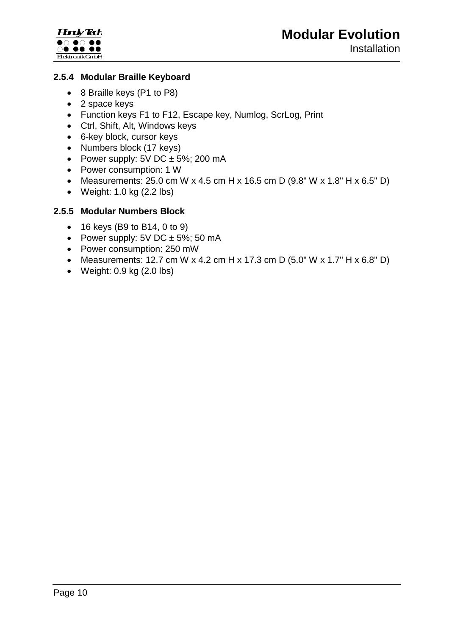<span id="page-9-0"></span>

- 8 Braille keys (P1 to P8)
- 2 space keys

*Handy Tech*

Elektronik GmbH

 $\circ\bullet\bullet\bullet$ 

- Function keys F1 to F12, Escape key, Numlog, ScrLog, Print
- Ctrl, Shift, Alt, Windows keys
- 6-key block, cursor keys
- Numbers block (17 keys)
- Power supply:  $5V$  DC  $\pm$  5%; 200 mA
- Power consumption: 1 W
- Measurements: 25.0 cm W x 4.5 cm H x 16.5 cm D (9.8" W x 1.8" H x 6.5" D)
- Weight:  $1.0 \text{ kg}$  (2.2 lbs)

#### <span id="page-9-1"></span>**2.5.5 Modular Numbers Block**

- 16 keys (B9 to B14, 0 to 9)
- Power supply:  $5V$  DC  $\pm$  5%; 50 mA
- Power consumption: 250 mW
- Measurements: 12.7 cm W x 4.2 cm H x 17.3 cm D (5.0" W x 1.7" H x 6.8" D)
- Weight: 0.9 kg (2.0 lbs)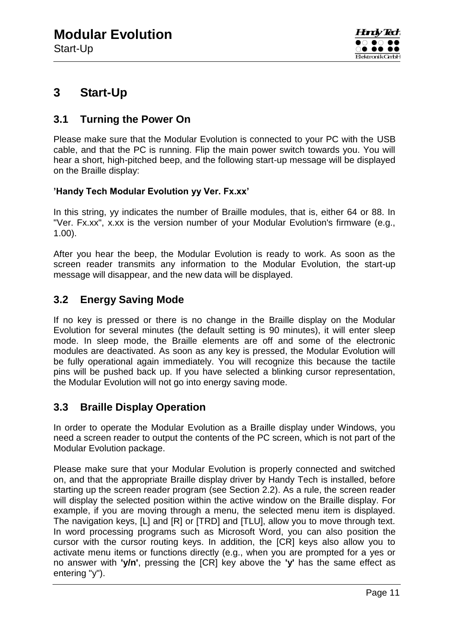

# <span id="page-10-0"></span>**3 Start-Up**

### <span id="page-10-1"></span>**3.1 Turning the Power On**

Please make sure that the Modular Evolution is connected to your PC with the USB cable, and that the PC is running. Flip the main power switch towards you. You will hear a short, high-pitched beep, and the following start-up message will be displayed on the Braille display:

#### **'Handy Tech Modular Evolution yy Ver. Fx.xx'**

In this string, yy indicates the number of Braille modules, that is, either 64 or 88. In "Ver. Fx.xx", x.xx is the version number of your Modular Evolution's firmware (e.g., 1.00).

After you hear the beep, the Modular Evolution is ready to work. As soon as the screen reader transmits any information to the Modular Evolution, the start-up message will disappear, and the new data will be displayed.

### <span id="page-10-2"></span>**3.2 Energy Saving Mode**

If no key is pressed or there is no change in the Braille display on the Modular Evolution for several minutes (the default setting is 90 minutes), it will enter sleep mode. In sleep mode, the Braille elements are off and some of the electronic modules are deactivated. As soon as any key is pressed, the Modular Evolution will be fully operational again immediately. You will recognize this because the tactile pins will be pushed back up. If you have selected a blinking cursor representation, the Modular Evolution will not go into energy saving mode.

# <span id="page-10-3"></span>**3.3 Braille Display Operation**

In order to operate the Modular Evolution as a Braille display under Windows, you need a screen reader to output the contents of the PC screen, which is not part of the Modular Evolution package.

Please make sure that your Modular Evolution is properly connected and switched on, and that the appropriate Braille display driver by Handy Tech is installed, before starting up the screen reader program (see Section [2.2\)](#page-6-2). As a rule, the screen reader will display the selected position within the active window on the Braille display. For example, if you are moving through a menu, the selected menu item is displayed. The navigation keys, [L] and [R] or [TRD] and [TLU], allow you to move through text. In word processing programs such as Microsoft Word, you can also position the cursor with the cursor routing keys. In addition, the [CR] keys also allow you to activate menu items or functions directly (e.g., when you are prompted for a yes or no answer with **'y/n'**, pressing the [CR] key above the **'y'** has the same effect as entering "y").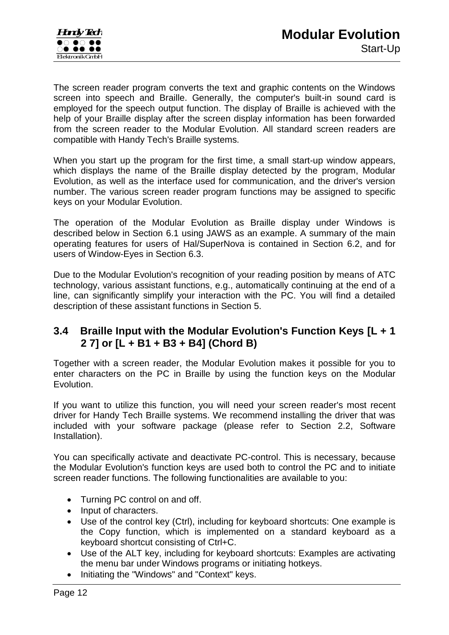

The screen reader program converts the text and graphic contents on the Windows screen into speech and Braille. Generally, the computer's built-in sound card is employed for the speech output function. The display of Braille is achieved with the help of your Braille display after the screen display information has been forwarded from the screen reader to the Modular Evolution. All standard screen readers are compatible with Handy Tech's Braille systems.

When you start up the program for the first time, a small start-up window appears, which displays the name of the Braille display detected by the program, Modular Evolution, as well as the interface used for communication, and the driver's version number. The various screen reader program functions may be assigned to specific keys on your Modular Evolution.

The operation of the Modular Evolution as Braille display under Windows is described below in Section [6.1](#page-26-0) using JAWS as an example. A summary of the main operating features for users of Hal/SuperNova is contained in Section [6.2,](#page-28-0) and for users of Window-Eyes in Section [6.3.](#page-30-0)

Due to the Modular Evolution's recognition of your reading position by means of ATC technology, various assistant functions, e.g., automatically continuing at the end of a line, can significantly simplify your interaction with the PC. You will find a detailed description of these assistant functions in Section [5.](#page-20-0)

### <span id="page-11-0"></span>**3.4 Braille Input with the Modular Evolution's Function Keys [L + 1 2 7] or [L + B1 + B3 + B4] (Chord B)**

Together with a screen reader, the Modular Evolution makes it possible for you to enter characters on the PC in Braille by using the function keys on the Modular Evolution.

If you want to utilize this function, you will need your screen reader's most recent driver for Handy Tech Braille systems. We recommend installing the driver that was included with your software package (please refer to Section [2.2,](#page-6-2) [Software](#page-6-2)  [Installation\)](#page-6-2).

You can specifically activate and deactivate PC-control. This is necessary, because the Modular Evolution's function keys are used both to control the PC and to initiate screen reader functions. The following functionalities are available to you:

- Turning PC control on and off.
- Input of characters.
- Use of the control key (Ctrl), including for keyboard shortcuts: One example is the Copy function, which is implemented on a standard keyboard as a keyboard shortcut consisting of Ctrl+C.
- Use of the ALT key, including for keyboard shortcuts: Examples are activating the menu bar under Windows programs or initiating hotkeys.
- Initiating the "Windows" and "Context" keys.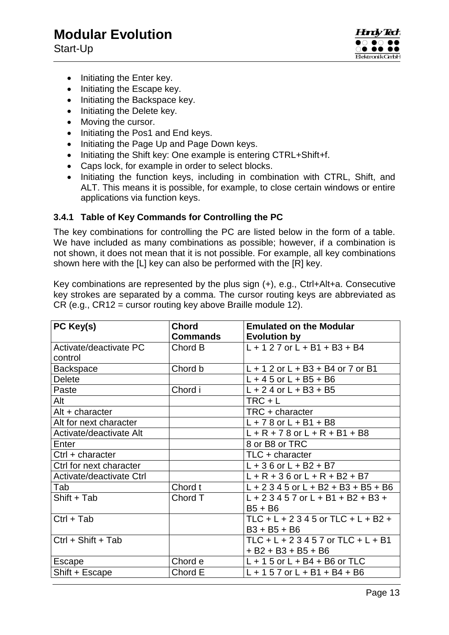Start-Up



- Initiating the Enter key.
- Initiating the Escape key.
- Initiating the Backspace key.
- Initiating the Delete key.
- Moving the cursor.
- Initiating the Pos1 and End keys.
- Initiating the Page Up and Page Down keys.
- Initiating the Shift key: One example is entering CTRL+Shift+f.
- Caps lock, for example in order to select blocks.
- Initiating the function keys, including in combination with CTRL, Shift, and ALT. This means it is possible, for example, to close certain windows or entire applications via function keys.

#### <span id="page-12-0"></span>**3.4.1 Table of Key Commands for Controlling the PC**

The key combinations for controlling the PC are listed below in the form of a table. We have included as many combinations as possible; however, if a combination is not shown, it does not mean that it is not possible. For example, all key combinations shown here with the [L] key can also be performed with the [R] key.

Key combinations are represented by the plus sign (+), e.g., Ctrl+Alt+a. Consecutive key strokes are separated by a comma. The cursor routing keys are abbreviated as CR (e.g., CR12 = cursor routing key above Braille module 12).

| PC Key(s)                | <b>Chord</b> | <b>Emulated on the Modular</b>        |
|--------------------------|--------------|---------------------------------------|
|                          | Commands     | <b>Evolution by</b>                   |
| Activate/deactivate PC   | Chord B      | $L + 127$ or $L + B1 + B3 + B4$       |
| control                  |              |                                       |
| <b>Backspace</b>         | Chord b      | $L + 12$ or $L + B3 + B4$ or 7 or B1  |
| <b>Delete</b>            |              | $L + 45$ or $L + B5 + B6$             |
| Paste                    | Chord i      | $L + 24$ or $L + B3 + B5$             |
| Alt                      |              | $TRC + L$                             |
| $Alt + character$        |              | TRC + character                       |
| Alt for next character   |              | $L + 78$ or $L + B1 + B8$             |
| Activate/deactivate Alt  |              | $L + R + 78$ or $L + R + B1 + B8$     |
| Enter                    |              | 8 or B8 or TRC                        |
| Ctrl + character         |              | TLC + character                       |
| Ctrl for next character  |              | $L + 36$ or $L + B2 + B7$             |
| Activate/deactivate Ctrl |              | $L + R + 36$ or $L + R + B2 + B7$     |
| Tab                      | Chord t      | $L + 2345$ or $L + B2 + B3 + B5 + B6$ |
| Shift + Tab              | Chord T      | $L + 23457$ or $L + B1 + B2 + B3 +$   |
|                          |              | $B5 + B6$                             |
| $Ctrl + Tab$             |              | TLC + L + 2 3 4 5 or TLC + L + B2 +   |
|                          |              | $B3 + B5 + B6$                        |
| Ctrl + Shift + Tab       |              | TLC + L + 2 3 4 5 7 or TLC + L + B1   |
|                          |              | $+ B2 + B3 + B5 + B6$                 |
| Escape                   | Chord e      | $L + 15$ or $L + B4 + B6$ or TLC      |
| Shift + Escape           | Chord E      | $L + 157$ or $L + B1 + B4 + B6$       |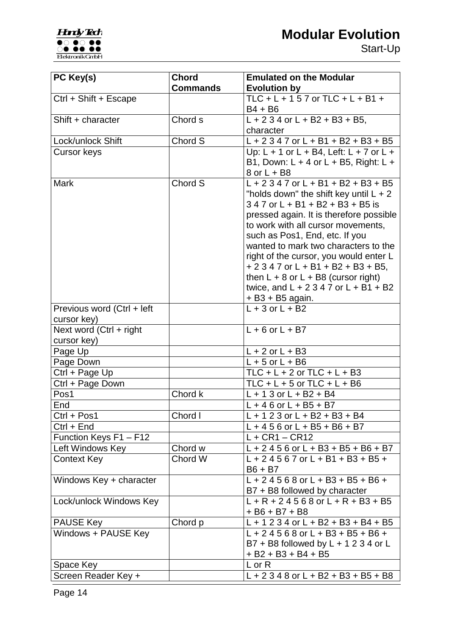# **Modular Evolution**



Start-Up

| PC Key(s)                  | <b>Chord</b>    | <b>Emulated on the Modular</b>                   |
|----------------------------|-----------------|--------------------------------------------------|
|                            | <b>Commands</b> | <b>Evolution by</b>                              |
| Ctrl + Shift + Escape      |                 | TLC + L + 1 5 7 or TLC + L + B1 +                |
|                            |                 | $B4 + B6$                                        |
| Shift + character          | Chord s         | $L + 234$ or $L + B2 + B3 + B5$ ,                |
|                            |                 | character                                        |
| Lock/unlock Shift          | Chord S         | $L + 2347$ or $L + B1 + B2 + B3 + B5$            |
| <b>Cursor keys</b>         |                 | Up: $L + 1$ or $L + B4$ , Left: $L + 7$ or $L +$ |
|                            |                 | B1, Down: $L + 4$ or $L + B5$ , Right: $L +$     |
|                            |                 | 8 or L + B8                                      |
| <b>Mark</b>                | Chord S         | $L + 2347$ or $L + B1 + B2 + B3 + B5$            |
|                            |                 | "holds down" the shift key until $L + 2$         |
|                            |                 | $347$ or L + B1 + B2 + B3 + B5 is                |
|                            |                 | pressed again. It is therefore possible          |
|                            |                 | to work with all cursor movements,               |
|                            |                 | such as Pos1, End, etc. If you                   |
|                            |                 | wanted to mark two characters to the             |
|                            |                 | right of the cursor, you would enter L           |
|                            |                 | $+ 2347$ or L + B1 + B2 + B3 + B5,               |
|                            |                 | then $L + 8$ or $L + B8$ (cursor right)          |
|                            |                 | twice, and $L + 2347$ or $L + B1 + B2$           |
|                            |                 | $+ B3 + B5$ again.                               |
| Previous word (Ctrl + left |                 | $L + 3$ or $L + B2$                              |
| cursor key)                |                 |                                                  |
| Next word (Ctrl + right    |                 | $L + 6$ or $L + B7$                              |
| cursor key)                |                 |                                                  |
| Page Up                    |                 | $L + 2$ or $L + B3$                              |
| Page Down                  |                 | $L + 5$ or $L + B6$                              |
| Ctrl + Page Up             |                 | TLC + L + 2 or TLC + L + B3                      |
| Ctrl + Page Down           |                 | TLC + L + 5 or TLC + L + B6                      |
| Pos1                       | Chord k         | $L + 13$ or $L + B2 + B4$                        |
| End                        |                 | $+46$ or L + B5 + B7                             |
| Ctrl + Pos1                | Chord I         | $L + 123$ or $L + B2 + B3 + B4$                  |
| Ctrl + End                 |                 | $L + 456$ or $L + B5 + B6 + B7$                  |
| Function Keys F1 - F12     |                 | $L + CR1 - CR12$                                 |
| Left Windows Key           | Chord w         | $L + 2456$ or $L + B3 + B5 + B6 + B7$            |
| <b>Context Key</b>         | Chord W         | $L + 24567$ or $L + B1 + B3 + B5 +$              |
|                            |                 | $B6 + B7$                                        |
| Windows Key + character    |                 | $L + 24568$ or $L + B3 + B5 + B6 +$              |
|                            |                 | B7 + B8 followed by character                    |
| Lock/unlock Windows Key    |                 | $L + R + 24568$ or $L + R + B3 + B5$             |
|                            |                 | $+ B6 + B7 + B8$                                 |
| <b>PAUSE Key</b>           | Chord p         | $L + 1234$ or $L + B2 + B3 + B4 + B5$            |
| Windows + PAUSE Key        |                 | $L + 24568$ or $L + B3 + B5 + B6 +$              |
|                            |                 | B7 + B8 followed by $L + 1234$ or L              |
|                            |                 | + B2 + B3 + B4 + B5                              |
| Space Key                  |                 | $L$ or R                                         |
| Screen Reader Key +        |                 | $L + 2348$ or $L + B2 + B3 + B5 + B8$            |
|                            |                 |                                                  |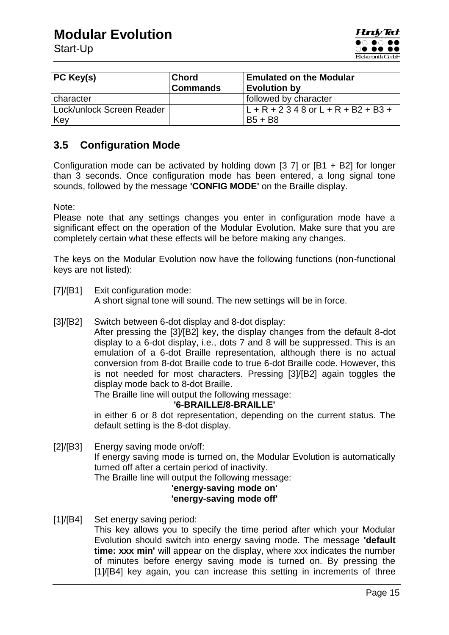# **Modular Evolution**

| $PC$ Key(s)                      | <b>Chord</b><br><b>Commands</b> | <b>Emulated on the Modular</b><br><b>Evolution by</b> |
|----------------------------------|---------------------------------|-------------------------------------------------------|
| character                        |                                 | followed by character                                 |
| Lock/unlock Screen Reader<br>Key |                                 | $ L + R + 2348$ or $L + R + B2 + B3 +$<br>$B5 + B8$   |

# <span id="page-14-0"></span>**3.5 Configuration Mode**

Configuration mode can be activated by holding down [3 7] or [B1 + B2] for longer than 3 seconds. Once configuration mode has been entered, a long signal tone sounds, followed by the message **'CONFIG MODE'** on the Braille display.

Note:

Please note that any settings changes you enter in configuration mode have a significant effect on the operation of the Modular Evolution. Make sure that you are completely certain what these effects will be before making any changes.

The keys on the Modular Evolution now have the following functions (non-functional keys are not listed):

- [7]/[B1] Exit configuration mode: A short signal tone will sound. The new settings will be in force.
- [3]/[B2] Switch between 6-dot display and 8-dot display:

After pressing the [3]/[B2] key, the display changes from the default 8-dot display to a 6-dot display, i.e., dots 7 and 8 will be suppressed. This is an emulation of a 6-dot Braille representation, although there is no actual conversion from 8-dot Braille code to true 6-dot Braille code. However, this is not needed for most characters. Pressing [3]/[B2] again toggles the display mode back to 8-dot Braille.

The Braille line will output the following message:

#### **'6-BRAILLE/8-BRAILLE'**

in either 6 or 8 dot representation, depending on the current status. The default setting is the 8-dot display.

[2]/[B3] Energy saving mode on/off: If energy saving mode is turned on, the Modular Evolution is automatically turned off after a certain period of inactivity. The Braille line will output the following message:

#### **'energy-saving mode on' 'energy-saving mode off'**

[1]/[B4] Set energy saving period:

This key allows you to specify the time period after which your Modular Evolution should switch into energy saving mode. The message **'default time: xxx min'** will appear on the display, where xxx indicates the number of minutes before energy saving mode is turned on. By pressing the [1]/[B4] key again, you can increase this setting in increments of three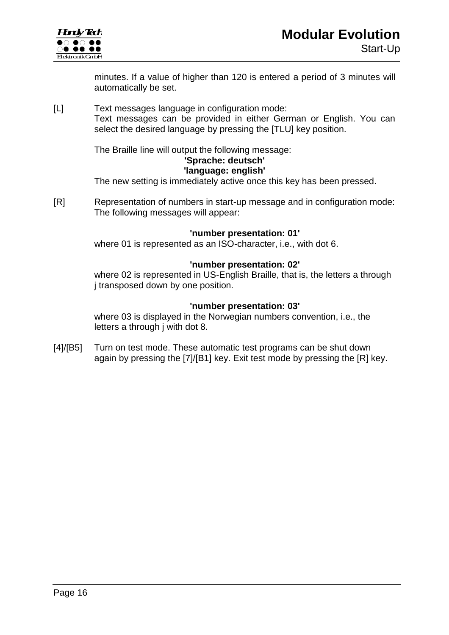



minutes. If a value of higher than 120 is entered a period of 3 minutes will automatically be set.

[L] Text messages language in configuration mode: Text messages can be provided in either German or English. You can select the desired language by pressing the [TLU] key position.

The Braille line will output the following message:

# **'Sprache: deutsch'**

### **'language: english'**

The new setting is immediately active once this key has been pressed.

[R] Representation of numbers in start-up message and in configuration mode: The following messages will appear:

#### **'number presentation: 01'**

where 01 is represented as an ISO-character, i.e., with dot 6.

#### **'number presentation: 02'**

where 02 is represented in US-English Braille, that is, the letters a through j transposed down by one position.

#### **'number presentation: 03'**

where 03 is displayed in the Norwegian numbers convention, i.e., the letters a through j with dot 8.

[4]/[B5] Turn on test mode. These automatic test programs can be shut down again by pressing the [7]/[B1] key. Exit test mode by pressing the [R] key.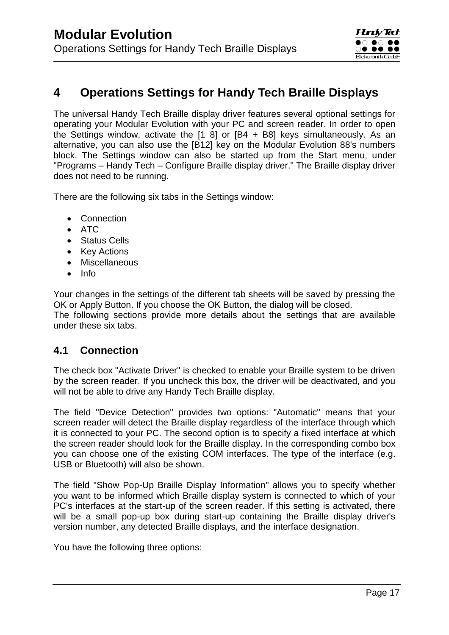# <span id="page-16-0"></span>**4 Operations Settings for Handy Tech Braille Displays**

The universal Handy Tech Braille display driver features several optional settings for operating your Modular Evolution with your PC and screen reader. In order to open the Settings window, activate the  $[1 8]$  or  $[B4 + B8]$  keys simultaneously. As an alternative, you can also use the [B12] key on the Modular Evolution 88's numbers block. The Settings window can also be started up from the Start menu, under "Programs – Handy Tech – Configure Braille display driver." The Braille display driver does not need to be running.

There are the following six tabs in the Settings window:

- Connection
- ATC
- Status Cells
- Key Actions
- Miscellaneous
- $\bullet$  Info

Your changes in the settings of the different tab sheets will be saved by pressing the OK or Apply Button. If you choose the OK Button, the dialog will be closed. The following sections provide more details about the settings that are available under these six tabs.

### <span id="page-16-1"></span>**4.1 Connection**

The check box "Activate Driver" is checked to enable your Braille system to be driven by the screen reader. If you uncheck this box, the driver will be deactivated, and you will not be able to drive any Handy Tech Braille display.

The field "Device Detection" provides two options: "Automatic" means that your screen reader will detect the Braille display regardless of the interface through which it is connected to your PC. The second option is to specify a fixed interface at which the screen reader should look for the Braille display. In the corresponding combo box you can choose one of the existing COM interfaces. The type of the interface (e.g. USB or Bluetooth) will also be shown.

The field "Show Pop-Up Braille Display Information" allows you to specify whether you want to be informed which Braille display system is connected to which of your PC's interfaces at the start-up of the screen reader. If this setting is activated, there will be a small pop-up box during start-up containing the Braille display driver's version number, any detected Braille displays, and the interface designation.

You have the following three options: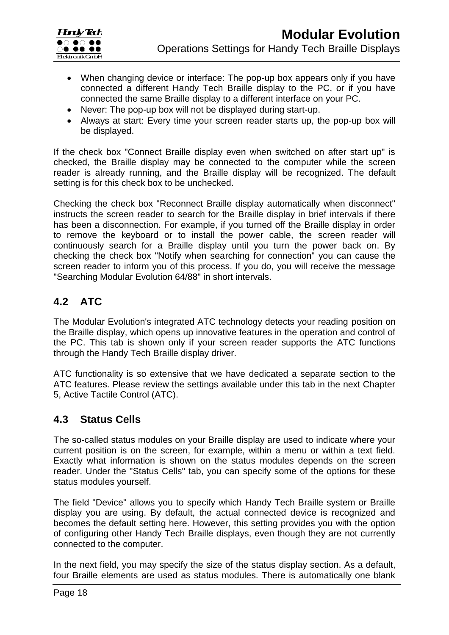

- When changing device or interface: The pop-up box appears only if you have connected a different Handy Tech Braille display to the PC, or if you have connected the same Braille display to a different interface on your PC.
- Never: The pop-up box will not be displayed during start-up.
- Always at start: Every time your screen reader starts up, the pop-up box will be displayed.

If the check box "Connect Braille display even when switched on after start up" is checked, the Braille display may be connected to the computer while the screen reader is already running, and the Braille display will be recognized. The default setting is for this check box to be unchecked.

Checking the check box "Reconnect Braille display automatically when disconnect" instructs the screen reader to search for the Braille display in brief intervals if there has been a disconnection. For example, if you turned off the Braille display in order to remove the keyboard or to install the power cable, the screen reader will continuously search for a Braille display until you turn the power back on. By checking the check box "Notify when searching for connection" you can cause the screen reader to inform you of this process. If you do, you will receive the message "Searching Modular Evolution 64/88" in short intervals.

# <span id="page-17-0"></span>**4.2 ATC**

The Modular Evolution's integrated ATC technology detects your reading position on the Braille display, which opens up innovative features in the operation and control of the PC. This tab is shown only if your screen reader supports the ATC functions through the Handy Tech Braille display driver.

ATC functionality is so extensive that we have dedicated a separate section to the ATC features. Please review the settings available under this tab in the next Chapter [5, Active Tactile Control \(ATC\).](#page-20-0)

# <span id="page-17-1"></span>**4.3 Status Cells**

The so-called status modules on your Braille display are used to indicate where your current position is on the screen, for example, within a menu or within a text field. Exactly what information is shown on the status modules depends on the screen reader. Under the "Status Cells" tab, you can specify some of the options for these status modules yourself.

The field "Device" allows you to specify which Handy Tech Braille system or Braille display you are using. By default, the actual connected device is recognized and becomes the default setting here. However, this setting provides you with the option of configuring other Handy Tech Braille displays, even though they are not currently connected to the computer.

In the next field, you may specify the size of the status display section. As a default, four Braille elements are used as status modules. There is automatically one blank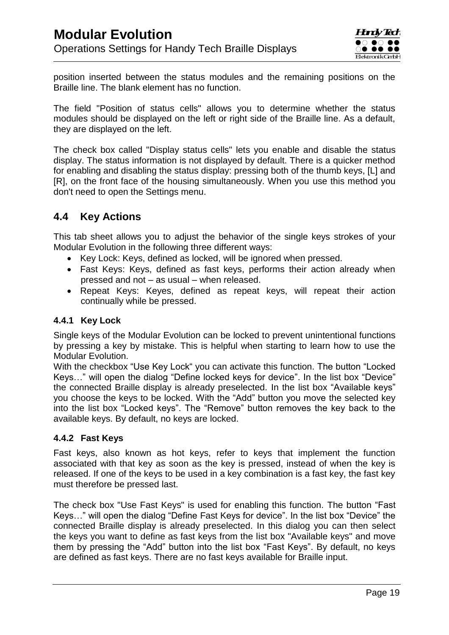position inserted between the status modules and the remaining positions on the Braille line. The blank element has no function.

The field "Position of status cells" allows you to determine whether the status modules should be displayed on the left or right side of the Braille line. As a default, they are displayed on the left.

The check box called "Display status cells" lets you enable and disable the status display. The status information is not displayed by default. There is a quicker method for enabling and disabling the status display: pressing both of the thumb keys, [L] and [R], on the front face of the housing simultaneously. When you use this method you don't need to open the Settings menu.

### <span id="page-18-0"></span>**4.4 Key Actions**

This tab sheet allows you to adjust the behavior of the single keys strokes of your Modular Evolution in the following three different ways:

- Key Lock: Keys, defined as locked, will be ignored when pressed.
- Fast Keys: Keys, defined as fast keys, performs their action already when pressed and not – as usual – when released.
- Repeat Keys: Keyes, defined as repeat keys, will repeat their action continually while be pressed.

#### **4.4.1 Key Lock**

Single keys of the Modular Evolution can be locked to prevent unintentional functions by pressing a key by mistake. This is helpful when starting to learn how to use the Modular Evolution.

With the checkbox "Use Key Lock" you can activate this function. The button "Locked Keys…" will open the dialog "Define locked keys for device". In the list box "Device" the connected Braille display is already preselected. In the list box "Available keys" you choose the keys to be locked. With the "Add" button you move the selected key into the list box "Locked keys". The "Remove" button removes the key back to the available keys. By default, no keys are locked.

#### **4.4.2 Fast Keys**

Fast keys, also known as hot keys, refer to keys that implement the function associated with that key as soon as the key is pressed, instead of when the key is released. If one of the keys to be used in a key combination is a fast key, the fast key must therefore be pressed last.

The check box "Use Fast Keys" is used for enabling this function. The button "Fast Keys…" will open the dialog "Define Fast Keys for device". In the list box "Device" the connected Braille display is already preselected. In this dialog you can then select the keys you want to define as fast keys from the list box "Available keys" and move them by pressing the "Add" button into the list box "Fast Keys". By default, no keys are defined as fast keys. There are no fast keys available for Braille input.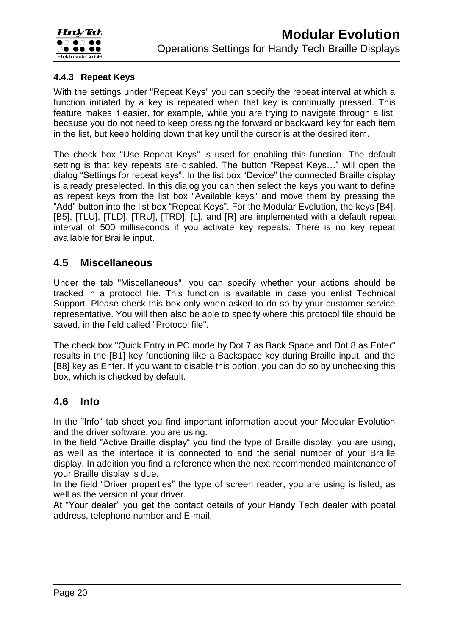

### <span id="page-19-0"></span>**4.4.3 Repeat Keys**

With the settings under "Repeat Keys" you can specify the repeat interval at which a function initiated by a key is repeated when that key is continually pressed. This feature makes it easier, for example, while you are trying to navigate through a list, because you do not need to keep pressing the forward or backward key for each item in the list, but keep holding down that key until the cursor is at the desired item.

The check box "Use Repeat Keys" is used for enabling this function. The default setting is that key repeats are disabled. The button "Repeat Keys…" will open the dialog "Settings for repeat keys". In the list box "Device" the connected Braille display is already preselected. In this dialog you can then select the keys you want to define as repeat keys from the list box "Available keys" and move them by pressing the "Add" button into the list box "Repeat Keys". For the Modular Evolution, the keys [B4], [B5], [TLU], [TLD], [TRU], [TRD], [L], and [R] are implemented with a default repeat interval of 500 milliseconds if you activate key repeats. There is no key repeat available for Braille input.

# <span id="page-19-1"></span>**4.5 Miscellaneous**

Under the tab "Miscellaneous", you can specify whether your actions should be tracked in a protocol file. This function is available in case you enlist Technical Support. Please check this box only when asked to do so by your customer service representative. You will then also be able to specify where this protocol file should be saved, in the field called "Protocol file".

The check box "Quick Entry in PC mode by Dot 7 as Back Space and Dot 8 as Enter" results in the [B1] key functioning like a Backspace key during Braille input, and the [B8] key as Enter. If you want to disable this option, you can do so by unchecking this box, which is checked by default.

# **4.6 Info**

In the "Info" tab sheet you find important information about your Modular Evolution and the driver software, you are using.

In the field "Active Braille display" you find the type of Braille display, you are using, as well as the interface it is connected to and the serial number of your Braille display. In addition you find a reference when the next recommended maintenance of your Braille display is due.

In the field "Driver properties" the type of screen reader, you are using is listed, as well as the version of your driver.

At "Your dealer" you get the contact details of your Handy Tech dealer with postal address, telephone number and E-mail.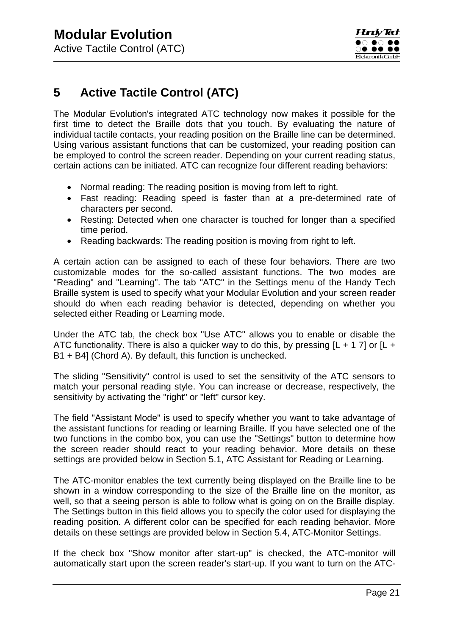# <span id="page-20-0"></span>**5 Active Tactile Control (ATC)**

The Modular Evolution's integrated ATC technology now makes it possible for the first time to detect the Braille dots that you touch. By evaluating the nature of individual tactile contacts, your reading position on the Braille line can be determined. Using various assistant functions that can be customized, your reading position can be employed to control the screen reader. Depending on your current reading status, certain actions can be initiated. ATC can recognize four different reading behaviors:

- Normal reading: The reading position is moving from left to right.
- Fast reading: Reading speed is faster than at a pre-determined rate of characters per second.
- Resting: Detected when one character is touched for longer than a specified time period.
- Reading backwards: The reading position is moving from right to left.

A certain action can be assigned to each of these four behaviors. There are two customizable modes for the so-called assistant functions. The two modes are "Reading" and "Learning". The tab "ATC" in the Settings menu of the Handy Tech Braille system is used to specify what your Modular Evolution and your screen reader should do when each reading behavior is detected, depending on whether you selected either Reading or Learning mode.

Under the ATC tab, the check box "Use ATC" allows you to enable or disable the ATC functionality. There is also a quicker way to do this, by pressing  $[L + 1 7]$  or  $[L +$ B1 + B4] (Chord A). By default, this function is unchecked.

The sliding "Sensitivity" control is used to set the sensitivity of the ATC sensors to match your personal reading style. You can increase or decrease, respectively, the sensitivity by activating the "right" or "left" cursor key.

The field "Assistant Mode" is used to specify whether you want to take advantage of the assistant functions for reading or learning Braille. If you have selected one of the two functions in the combo box, you can use the "Settings" button to determine how the screen reader should react to your reading behavior. More details on these settings are provided below in Section [5.1, ATC Assistant for Reading or Learning](#page-21-0).

The ATC-monitor enables the text currently being displayed on the Braille line to be shown in a window corresponding to the size of the Braille line on the monitor, as well, so that a seeing person is able to follow what is going on on the Braille display. The Settings button in this field allows you to specify the color used for displaying the reading position. A different color can be specified for each reading behavior. More details on these settings are provided below in Section [5.4, ATC-Monitor Settings.](#page-24-0)

If the check box "Show monitor after start-up" is checked, the ATC-monitor will automatically start upon the screen reader's start-up. If you want to turn on the ATC-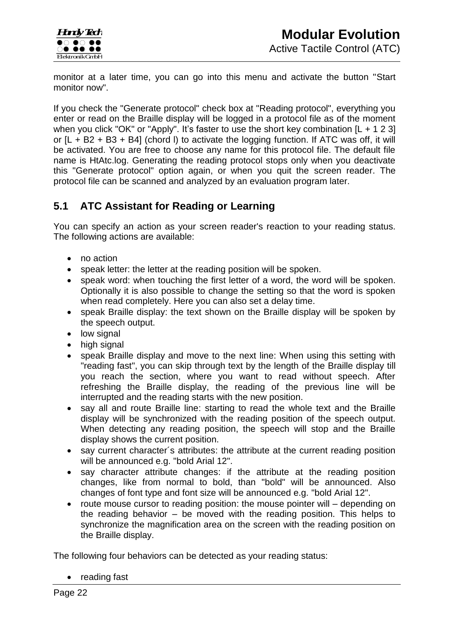

monitor at a later time, you can go into this menu and activate the button "Start monitor now".

If you check the "Generate protocol" check box at "Reading protocol", everything you enter or read on the Braille display will be logged in a protocol file as of the moment when you click "OK" or "Apply". It's faster to use the short key combination  $[L + 1 2 3]$ or  $[L + B2 + B3 + B4]$  (chord I) to activate the logging function. If ATC was off, it will be activated. You are free to choose any name for this protocol file. The default file name is HtAtc.log. Generating the reading protocol stops only when you deactivate this "Generate protocol" option again, or when you quit the screen reader. The protocol file can be scanned and analyzed by an evaluation program later.

# <span id="page-21-0"></span>**5.1 ATC Assistant for Reading or Learning**

You can specify an action as your screen reader's reaction to your reading status. The following actions are available:

- no action
- speak letter: the letter at the reading position will be spoken.
- speak word: when touching the first letter of a word, the word will be spoken. Optionally it is also possible to change the setting so that the word is spoken when read completely. Here you can also set a delay time.
- speak Braille display: the text shown on the Braille display will be spoken by the speech output.
- low signal
- high signal
- speak Braille display and move to the next line: When using this setting with "reading fast", you can skip through text by the length of the Braille display till you reach the section, where you want to read without speech. After refreshing the Braille display, the reading of the previous line will be interrupted and the reading starts with the new position.
- say all and route Braille line: starting to read the whole text and the Braille display will be synchronized with the reading position of the speech output. When detecting any reading position, the speech will stop and the Braille display shows the current position.
- say current character's attributes: the attribute at the current reading position will be announced e.g. "bold Arial 12".
- say character attribute changes: if the attribute at the reading position changes, like from normal to bold, than "bold" will be announced. Also changes of font type and font size will be announced e.g. "bold Arial 12".
- route mouse cursor to reading position: the mouse pointer will depending on the reading behavior – be moved with the reading position. This helps to synchronize the magnification area on the screen with the reading position on the Braille display.

The following four behaviors can be detected as your reading status:

reading fast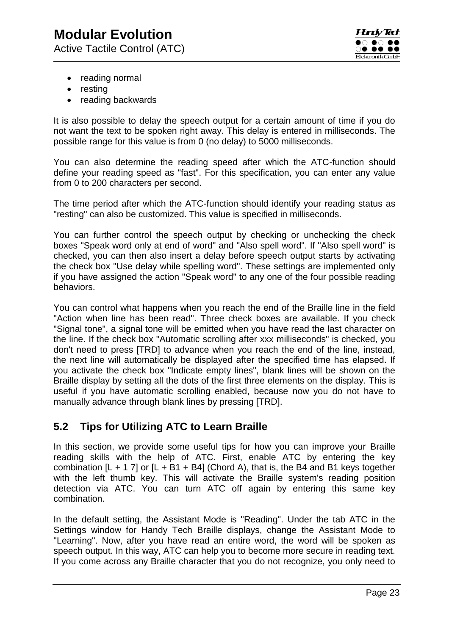- reading normal
- resting
- reading backwards

It is also possible to delay the speech output for a certain amount of time if you do not want the text to be spoken right away. This delay is entered in milliseconds. The possible range for this value is from 0 (no delay) to 5000 milliseconds.

You can also determine the reading speed after which the ATC-function should define your reading speed as "fast". For this specification, you can enter any value from 0 to 200 characters per second.

The time period after which the ATC-function should identify your reading status as "resting" can also be customized. This value is specified in milliseconds.

You can further control the speech output by checking or unchecking the check boxes "Speak word only at end of word" and "Also spell word". If "Also spell word" is checked, you can then also insert a delay before speech output starts by activating the check box "Use delay while spelling word". These settings are implemented only if you have assigned the action "Speak word" to any one of the four possible reading behaviors.

You can control what happens when you reach the end of the Braille line in the field "Action when line has been read". Three check boxes are available. If you check "Signal tone", a signal tone will be emitted when you have read the last character on the line. If the check box "Automatic scrolling after xxx milliseconds" is checked, you don't need to press [TRD] to advance when you reach the end of the line, instead, the next line will automatically be displayed after the specified time has elapsed. If you activate the check box "Indicate empty lines", blank lines will be shown on the Braille display by setting all the dots of the first three elements on the display. This is useful if you have automatic scrolling enabled, because now you do not have to manually advance through blank lines by pressing [TRD].

# <span id="page-22-0"></span>**5.2 Tips for Utilizing ATC to Learn Braille**

In this section, we provide some useful tips for how you can improve your Braille reading skills with the help of ATC. First, enable ATC by entering the key combination  $[L + 1 7]$  or  $[L + B1 + B4]$  (Chord A), that is, the B4 and B1 keys together with the left thumb key. This will activate the Braille system's reading position detection via ATC. You can turn ATC off again by entering this same key combination.

In the default setting, the Assistant Mode is "Reading". Under the tab ATC in the Settings window for Handy Tech Braille displays, change the Assistant Mode to "Learning". Now, after you have read an entire word, the word will be spoken as speech output. In this way, ATC can help you to become more secure in reading text. If you come across any Braille character that you do not recognize, you only need to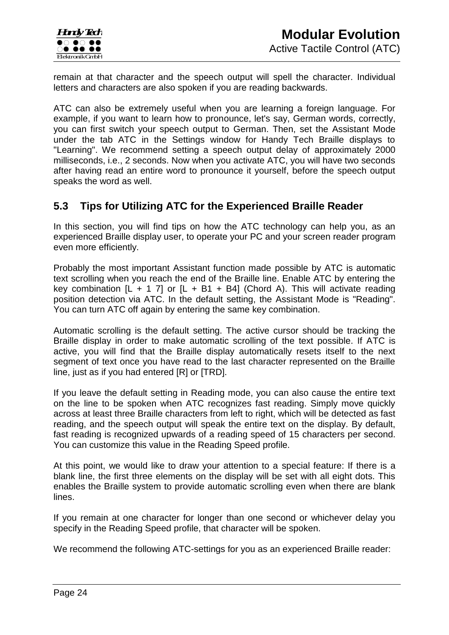remain at that character and the speech output will spell the character. Individual letters and characters are also spoken if you are reading backwards.

ATC can also be extremely useful when you are learning a foreign language. For example, if you want to learn how to pronounce, let's say, German words, correctly, you can first switch your speech output to German. Then, set the Assistant Mode under the tab ATC in the Settings window for Handy Tech Braille displays to "Learning". We recommend setting a speech output delay of approximately 2000 milliseconds, i.e., 2 seconds. Now when you activate ATC, you will have two seconds after having read an entire word to pronounce it yourself, before the speech output speaks the word as well.

### <span id="page-23-0"></span>**5.3 Tips for Utilizing ATC for the Experienced Braille Reader**

In this section, you will find tips on how the ATC technology can help you, as an experienced Braille display user, to operate your PC and your screen reader program even more efficiently.

Probably the most important Assistant function made possible by ATC is automatic text scrolling when you reach the end of the Braille line. Enable ATC by entering the key combination  $[L + 1 7]$  or  $[L + B1 + B4]$  (Chord A). This will activate reading position detection via ATC. In the default setting, the Assistant Mode is "Reading". You can turn ATC off again by entering the same key combination.

Automatic scrolling is the default setting. The active cursor should be tracking the Braille display in order to make automatic scrolling of the text possible. If ATC is active, you will find that the Braille display automatically resets itself to the next segment of text once you have read to the last character represented on the Braille line, just as if you had entered [R] or [TRD].

If you leave the default setting in Reading mode, you can also cause the entire text on the line to be spoken when ATC recognizes fast reading. Simply move quickly across at least three Braille characters from left to right, which will be detected as fast reading, and the speech output will speak the entire text on the display. By default, fast reading is recognized upwards of a reading speed of 15 characters per second. You can customize this value in the Reading Speed profile.

At this point, we would like to draw your attention to a special feature: If there is a blank line, the first three elements on the display will be set with all eight dots. This enables the Braille system to provide automatic scrolling even when there are blank lines.

If you remain at one character for longer than one second or whichever delay you specify in the Reading Speed profile, that character will be spoken.

We recommend the following ATC-settings for you as an experienced Braille reader: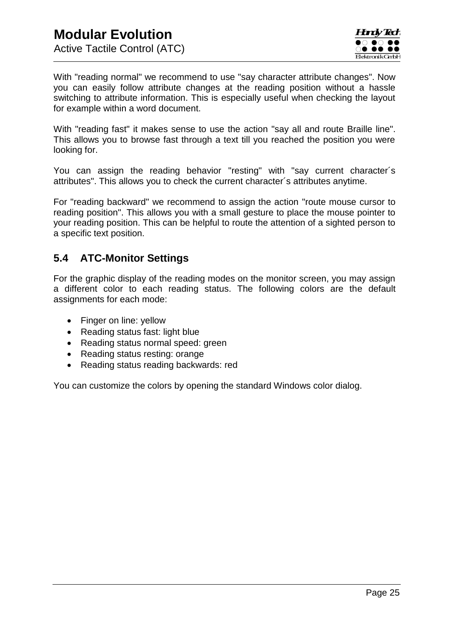With "reading normal" we recommend to use "say character attribute changes". Now you can easily follow attribute changes at the reading position without a hassle switching to attribute information. This is especially useful when checking the layout for example within a word document.

With "reading fast" it makes sense to use the action "say all and route Braille line". This allows you to browse fast through a text till you reached the position you were looking for.

You can assign the reading behavior "resting" with "say current character´s attributes". This allows you to check the current character´s attributes anytime.

For "reading backward" we recommend to assign the action "route mouse cursor to reading position". This allows you with a small gesture to place the mouse pointer to your reading position. This can be helpful to route the attention of a sighted person to a specific text position.

# <span id="page-24-0"></span>**5.4 ATC-Monitor Settings**

For the graphic display of the reading modes on the monitor screen, you may assign a different color to each reading status. The following colors are the default assignments for each mode:

- Finger on line: yellow
- Reading status fast: light blue
- Reading status normal speed: green
- Reading status resting: orange
- Reading status reading backwards: red

You can customize the colors by opening the standard Windows color dialog.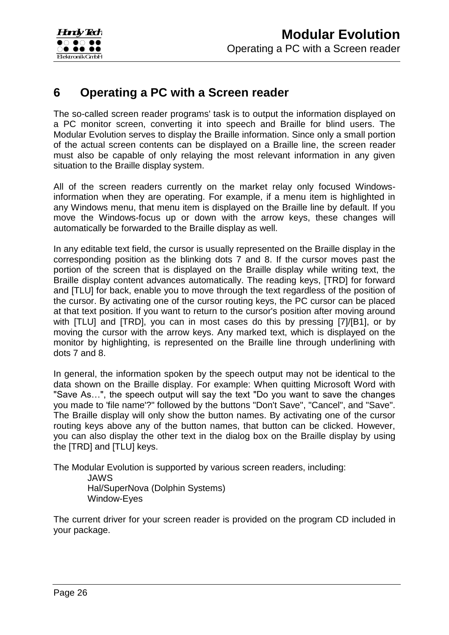

# <span id="page-25-0"></span>**6 Operating a PC with a Screen reader**

The so-called screen reader programs' task is to output the information displayed on a PC monitor screen, converting it into speech and Braille for blind users. The Modular Evolution serves to display the Braille information. Since only a small portion of the actual screen contents can be displayed on a Braille line, the screen reader must also be capable of only relaying the most relevant information in any given situation to the Braille display system.

All of the screen readers currently on the market relay only focused Windowsinformation when they are operating. For example, if a menu item is highlighted in any Windows menu, that menu item is displayed on the Braille line by default. If you move the Windows-focus up or down with the arrow keys, these changes will automatically be forwarded to the Braille display as well.

In any editable text field, the cursor is usually represented on the Braille display in the corresponding position as the blinking dots 7 and 8. If the cursor moves past the portion of the screen that is displayed on the Braille display while writing text, the Braille display content advances automatically. The reading keys, [TRD] for forward and [TLU] for back, enable you to move through the text regardless of the position of the cursor. By activating one of the cursor routing keys, the PC cursor can be placed at that text position. If you want to return to the cursor's position after moving around with [TLU] and [TRD], you can in most cases do this by pressing [7]/[B1], or by moving the cursor with the arrow keys. Any marked text, which is displayed on the monitor by highlighting, is represented on the Braille line through underlining with dots 7 and 8.

In general, the information spoken by the speech output may not be identical to the data shown on the Braille display. For example: When quitting Microsoft Word with "Save As…", the speech output will say the text "Do you want to save the changes you made to 'file name'?" followed by the buttons "Don't Save", "Cancel", and "Save". The Braille display will only show the button names. By activating one of the cursor routing keys above any of the button names, that button can be clicked. However, you can also display the other text in the dialog box on the Braille display by using the [TRD] and [TLU] keys.

The Modular Evolution is supported by various screen readers, including:

JAWS Hal/SuperNova (Dolphin Systems) Window-Eyes

The current driver for your screen reader is provided on the program CD included in your package.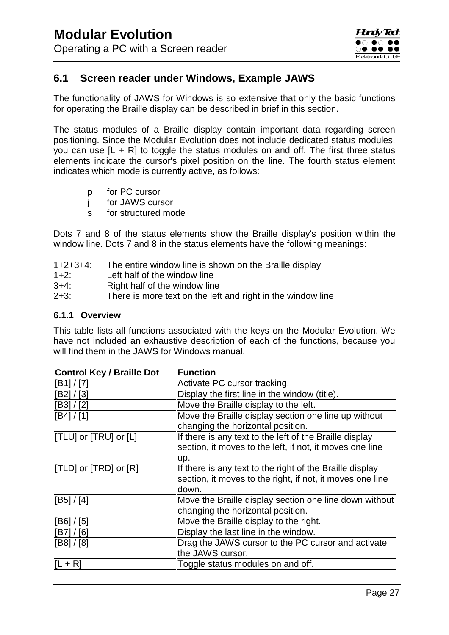# <span id="page-26-0"></span>**6.1 Screen reader under Windows, Example JAWS**

The functionality of JAWS for Windows is so extensive that only the basic functions for operating the Braille display can be described in brief in this section.

The status modules of a Braille display contain important data regarding screen positioning. Since the Modular Evolution does not include dedicated status modules, you can use  $[L + R]$  to toggle the status modules on and off. The first three status elements indicate the cursor's pixel position on the line. The fourth status element indicates which mode is currently active, as follows:

- p for PC cursor
- j for JAWS cursor
- s for structured mode

Dots 7 and 8 of the status elements show the Braille display's position within the window line. Dots 7 and 8 in the status elements have the following meanings:

- 1+2+3+4: The entire window line is shown on the Braille display
- 1+2: Left half of the window line
- 3+4: Right half of the window line
- 2+3: There is more text on the left and right in the window line

#### <span id="page-26-1"></span>**6.1.1 Overview**

This table lists all functions associated with the keys on the Modular Evolution. We have not included an exhaustive description of each of the functions, because you will find them in the JAWS for Windows manual.

| <b>Control Key / Braille Dot</b> | <b>Function</b>                                                                                                                |
|----------------------------------|--------------------------------------------------------------------------------------------------------------------------------|
| [B1] / [7]                       | Activate PC cursor tracking.                                                                                                   |
| [B2] / [3]                       | Display the first line in the window (title).                                                                                  |
| [B3] / [2]                       | Move the Braille display to the left.                                                                                          |
| [B4] / [1]                       | Move the Braille display section one line up without<br>changing the horizontal position.                                      |
| [[TLU] or [TRU] or [L]           | If there is any text to the left of the Braille display<br>section, it moves to the left, if not, it moves one line<br>up.     |
| [[TLD] or [TRD] or [R]           | If there is any text to the right of the Braille display<br>section, it moves to the right, if not, it moves one line<br>down. |
| [B5] / [4]                       | Move the Braille display section one line down without<br>changing the horizontal position.                                    |
| [B6] / [5]                       | Move the Braille display to the right.                                                                                         |
| [B7] / [6]                       | Display the last line in the window.                                                                                           |
| [B8] / [8]                       | Drag the JAWS cursor to the PC cursor and activate<br>the JAWS cursor.                                                         |
| $[L + R]$                        | Toggle status modules on and off.                                                                                              |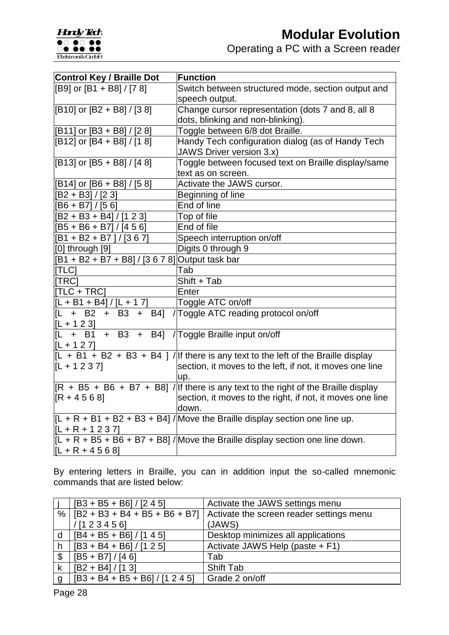

| <b>Control Key / Braille Dot</b>                        | <b>Function</b>                                                                                 |
|---------------------------------------------------------|-------------------------------------------------------------------------------------------------|
| [B9] or [B1 + B8] / [7 8]                               | Switch between structured mode, section output and<br>speech output.                            |
| [B10] or [B2 + B8] / [3 8]                              | Change cursor representation (dots 7 and 8, all 8                                               |
|                                                         | dots, blinking and non-blinking).                                                               |
| [B11] or $[B3 + B8] / [2 8]$                            | Toggle between 6/8 dot Braille.                                                                 |
| [B12] or $[BA + B8] / [1 8]$                            | Handy Tech configuration dialog (as of Handy Tech<br>JAWS Driver version 3.x)                   |
| [B13] or [B5 + B8] / [4 8]                              | Toggle between focused text on Braille display/same                                             |
|                                                         | text as on screen.                                                                              |
| [B14] or [B6 + B8] / [5 8]                              | Activate the JAWS cursor.                                                                       |
| [B2 + B3] / [2 3]                                       | Beginning of line                                                                               |
| $[B6 + B7] / [56]$                                      | End of line                                                                                     |
| $[B2 + B3 + B4]/[1 2 3]$                                | Top of file                                                                                     |
| $[B5 + B6 + B7]/[4 5 6]$                                | End of file                                                                                     |
| $[B1 + B2 + B7]/[367]$                                  | Speech interruption on/off                                                                      |
| $[0]$ through $[9]$                                     | Digits 0 through 9                                                                              |
| $[B1 + B2 + B7 + B8]/[3 6 7 8]$ Output task bar         |                                                                                                 |
| [TLC]                                                   | Tab                                                                                             |
| [TRC]                                                   | Shift + Tab                                                                                     |
| [TLC + TRC]                                             | Enter                                                                                           |
| [L + B1 + B4] / [L + 1 7]                               | Toggle ATC on/off                                                                               |
| + B2<br>$+$<br><b>B3</b><br>B4]<br>$+$<br>$[L + 1 2 3]$ | /Toggle ATC reading protocol on/off                                                             |
| $+$ B1<br>$+$ B <sub>3</sub><br> [L + 1 2 7]            | + B4] / Toggle Braille input on/off                                                             |
|                                                         | $\overline{L + B1 + B2 + B3 + B4}$ / If there is any text to the left of the Braille display    |
| $ L + 1237 $                                            | section, it moves to the left, if not, it moves one line<br>up.                                 |
|                                                         | $\overline{IR}$ + B5 + B6 + B7 + B8] / If there is any text to the right of the Braille display |
| $IR + 4568$                                             | section, it moves to the right, if not, it moves one line<br>down.                              |
| [L + R + 1 2 3 7]                                       | $[L + R + B1 + B2 + B3 + B4]$ / Move the Braille display section one line up.                   |
|                                                         | $[L + R + B5 + B6 + B7 + B8]$ /Move the Braille display section one line down.                  |
| $[L + R + 4568]$                                        |                                                                                                 |

By entering letters in Braille, you can in addition input the so-called mnemonic commands that are listed below:

|                           | $[B3 + B5 + B6]/[2 4 5]$                                            | Activate the JAWS settings menu                                                 |
|---------------------------|---------------------------------------------------------------------|---------------------------------------------------------------------------------|
|                           |                                                                     | %   $[1B2 + B3 + B4 + B5 + B6 + B7]$   Activate the screen reader settings menu |
|                           | /[123456]                                                           | (JAWS)                                                                          |
| d                         | [B4 + B5 + B6] / [1 4 5]                                            | Desktop minimizes all applications                                              |
| h                         | $\left[\frac{\text{B3} + \text{B4} + \text{B6}}{\text{125}}\right]$ | Activate JAWS Help (paste + F1)                                                 |
| $\boldsymbol{\mathsf{S}}$ | $[B5 + B7]/[4 6]$                                                   | Tab                                                                             |
| k                         | $[B2 + B4]/[13]$                                                    | <b>Shift Tab</b>                                                                |
| g                         | $\vert$ [B3 + B4 + B5 + B6] / [1 2 4 5]                             | Grade 2 on/off                                                                  |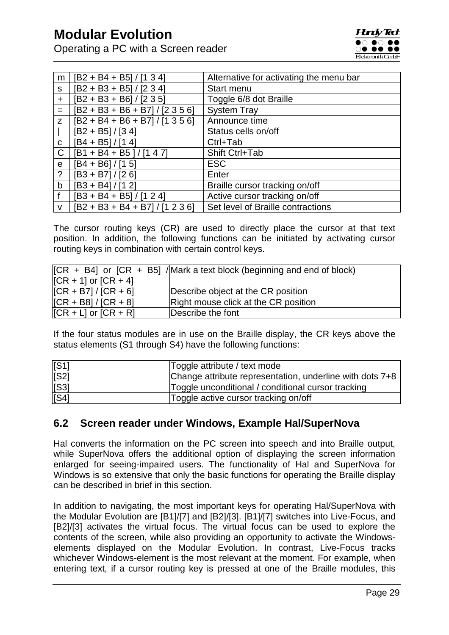| m            | $[B2 + B4 + B5]/[1 3 4]$        | Alternative for activating the menu bar |
|--------------|---------------------------------|-----------------------------------------|
| S            | $[B2 + B3 + B5]/[2 3 4]$        | Start menu                              |
| $+$          | $[B2 + B3 + B6]/[2 3 5]$        | Toggle 6/8 dot Braille                  |
| $=$          | $[B2 + B3 + B6 + B7]/[2 3 5 6]$ | <b>System Tray</b>                      |
| $\mathsf{Z}$ | $[B2 + B4 + B6 + B7]/[1 3 5 6]$ | Announce time                           |
|              | $[B2 + B5]/[3 4]$               | Status cells on/off                     |
| C            | $[B4 + B5]/[1 4]$               | Ctrl+Tab                                |
| $\mathsf{C}$ | $[B1 + B4 + B5]/[1 4 7]$        | Shift Ctrl+Tab                          |
| $\mathsf{e}$ | $[B4 + B6]/[15]$                | <b>ESC</b>                              |
| $\ddot{?}$   | $[B3 + B7]/[2 6]$               | Enter                                   |
| $\mathsf{b}$ | $[B3 + B4]/[12]$                | Braille cursor tracking on/off          |
| $\mathbf{f}$ | $[B3 + B4 + B5]/[1 2 4]$        | Active cursor tracking on/off           |
| $\mathsf{v}$ | $[B2 + B3 + B4 + B7]/[1 2 3 6]$ | Set level of Braille contractions       |

The cursor routing keys (CR) are used to directly place the cursor at that text position. In addition, the following functions can be initiated by activating cursor routing keys in combination with certain control keys.

|                          | $[CR + B4]$ or $[CR + B5]$ /Mark a text block (beginning and end of block) |
|--------------------------|----------------------------------------------------------------------------|
| $[CR + 1]$ or $[CR + 4]$ |                                                                            |
| $[CR + B7] / [CR + 6]$   | Describe object at the CR position                                         |
| $[CR + B8]/[CR + 8]$     | Right mouse click at the CR position                                       |
| $[CR + L]$ or $[CR + R]$ | Describe the font                                                          |

If the four status modules are in use on the Braille display, the CR keys above the status elements (S1 through S4) have the following functions:

| [S1] | Toggle attribute / text mode                             |
|------|----------------------------------------------------------|
| [S2] | Change attribute representation, underline with dots 7+8 |
| [S3] | Toggle unconditional / conditional cursor tracking       |
| [S4] | Toggle active cursor tracking on/off                     |

### <span id="page-28-0"></span>**6.2 Screen reader under Windows, Example Hal/SuperNova**

Hal converts the information on the PC screen into speech and into Braille output, while SuperNova offers the additional option of displaying the screen information enlarged for seeing-impaired users. The functionality of Hal and SuperNova for Windows is so extensive that only the basic functions for operating the Braille display can be described in brief in this section.

In addition to navigating, the most important keys for operating Hal/SuperNova with the Modular Evolution are [B1]/[7] and [B2]/[3]. [B1]/[7] switches into Live-Focus, and [B2]/[3] activates the virtual focus. The virtual focus can be used to explore the contents of the screen, while also providing an opportunity to activate the Windowselements displayed on the Modular Evolution. In contrast, Live-Focus tracks whichever Windows-element is the most relevant at the moment. For example, when entering text, if a cursor routing key is pressed at one of the Braille modules, this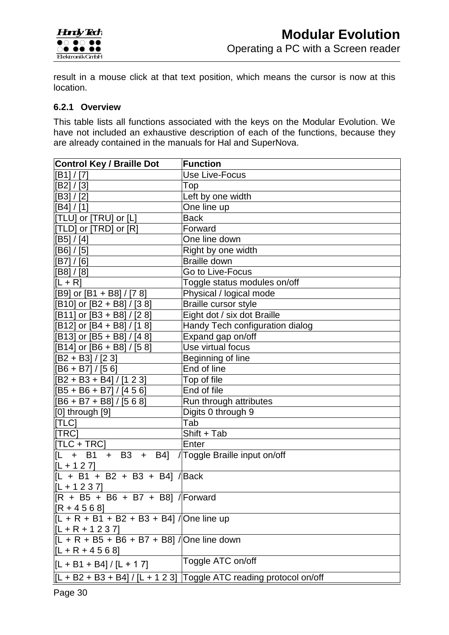

result in a mouse click at that text position, which means the cursor is now at this location.

#### <span id="page-29-0"></span>**6.2.1 Overview**

This table lists all functions associated with the keys on the Modular Evolution. We have not included an exhaustive description of each of the functions, because they are already contained in the manuals for Hal and SuperNova.

| <b>Control Key / Braille Dot</b>                                                                               | <b>Function</b>                    |
|----------------------------------------------------------------------------------------------------------------|------------------------------------|
| [B1]/[7]                                                                                                       | Use Live-Focus                     |
| [B2] / [3]                                                                                                     | Top                                |
| [B3]/[2]                                                                                                       | Left by one width                  |
| [B4]/[1]                                                                                                       | One line up                        |
| [TLU] or [TRU] or [L]                                                                                          | <b>Back</b>                        |
| [[TLD] or [TRD] or [R]                                                                                         | Forward                            |
| [B5] / [4]                                                                                                     | One line down                      |
| [B6] / [5]                                                                                                     | Right by one width                 |
| [B7] / [6]                                                                                                     | <b>Braille down</b>                |
| [B8] / [8]                                                                                                     | Go to Live-Focus                   |
| $[L + R]$                                                                                                      | Toggle status modules on/off       |
| [B9] or [B1 + B8] / [7 8]                                                                                      | Physical / logical mode            |
| [B10] or [B2 + B8] / [3 8]                                                                                     | Braille cursor style               |
| [B11] or [B3 + B8] / [2 8]                                                                                     | Eight dot / six dot Braille        |
| [B12] or [B4 + B8] / [1 8]                                                                                     | Handy Tech configuration dialog    |
| [B13] or [B5 + B8] / [4 8]                                                                                     | Expand gap on/off                  |
| [B14] or [B6 + B8] / [5 8]                                                                                     | Use virtual focus                  |
| $[B2 + B3]/[23]$                                                                                               | Beginning of line                  |
| $[B6 + B7] / [56]$                                                                                             | End of line                        |
| $[B2 + B3 + B4]/[1 2 3]$                                                                                       | Top of file                        |
| [B5 + B6 + B7] / [4 5 6]                                                                                       | End of file                        |
| $[B6 + B7 + B8]/[568]$                                                                                         | Run through attributes             |
| [0] through [9]                                                                                                | Digits 0 through 9                 |
| [TLC]                                                                                                          | Tab                                |
| [TRC]                                                                                                          | Shift + Tab                        |
| $[TLC + TRC]$                                                                                                  | Enter                              |
| $\begin{array}{ l l }\n\hline\n\vert\hline\n\vert\hline\n\end{array}$ + B3 + B4] / Toggle Braille input on/off |                                    |
| $[L + 1 2 7]$                                                                                                  |                                    |
| $[L + B1 + B2 + B3 + B4]/ Back$                                                                                |                                    |
| $[L + 1 2 3 7]$                                                                                                |                                    |
| $[R + B5 + B6 + B7 + B8]$ / Forward                                                                            |                                    |
| $[R + 4 5 6 8]$                                                                                                |                                    |
| $[L + R + B1 + B2 + B3 + B4]$ / One line up                                                                    |                                    |
| $[L + R + 1 2 3 7]$                                                                                            |                                    |
| $[I + R + B5 + B6 + B7 + B8]/ One $ line down                                                                  |                                    |
| $[L + R + 4568]$                                                                                               |                                    |
| $[L + B1 + B4]/[L + 17]$                                                                                       | Toggle ATC on/off                  |
| $[L + B2 + B3 + B4]/[L + 1 2 3]$                                                                               | Toggle ATC reading protocol on/off |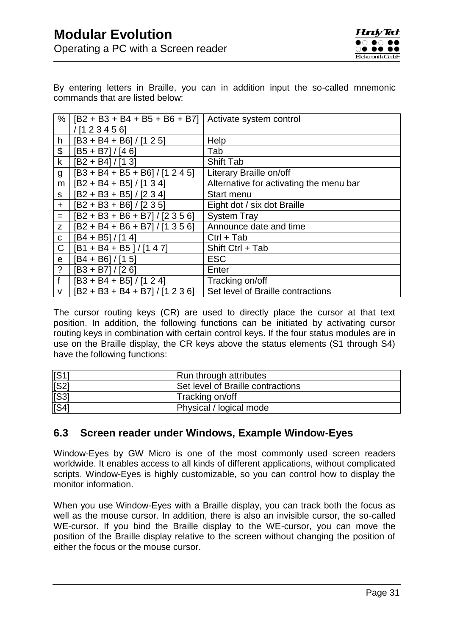By entering letters in Braille, you can in addition input the so-called mnemonic commands that are listed below:

| $\%$           | $[B2 + B3 + B4 + B5 + B6 + B7]$ Activate system control |                                         |
|----------------|---------------------------------------------------------|-----------------------------------------|
|                | /[123456]                                               |                                         |
| h.             | $[B3 + B4 + B6]/[1 2 5]$                                | Help                                    |
| \$             | $[B5 + B7]/[4 6]$                                       | Tab                                     |
| $\mathsf k$    | $[B2 + B4]/[13]$                                        | <b>Shift Tab</b>                        |
| $\overline{g}$ | $[B3 + B4 + B5 + B6]/[1 2 4 5]$                         | Literary Braille on/off                 |
| m              | $[B2 + B4 + B5]/[1 3 4]$                                | Alternative for activating the menu bar |
| S              | $[B2 + B3 + B5]/[2 3 4]$                                | Start menu                              |
| $\pm$          | $[B2 + B3 + B6]/[2 3 5]$                                | Eight dot / six dot Braille             |
| $=$            | $[B2 + B3 + B6 + B7]/[2 3 5 6]$                         | <b>System Tray</b>                      |
| Z.             | $[B2 + B4 + B6 + B7]/[1 3 5 6]$                         | Announce date and time                  |
| $\mathbf{C}$   | $[B4 + B5]/[1 4]$                                       | $Ctrl + Tab$                            |
| $\mathsf C$    | $[B1 + B4 + B5]/[1 4 7]$                                | Shift Ctrl + Tab                        |
| e              | $[B4 + B6]/[15]$                                        | <b>ESC</b>                              |
| $\ddot{?}$     | $[B3 + B7]/[2 6]$                                       | Enter                                   |
| f              | $[B3 + B4 + B5]/[1 2 4]$                                | Tracking on/off                         |
| $\vee$         | $[B2 + B3 + B4 + B7]/[1 2 3 6]$                         | Set level of Braille contractions       |

The cursor routing keys (CR) are used to directly place the cursor at that text position. In addition, the following functions can be initiated by activating cursor routing keys in combination with certain control keys. If the four status modules are in use on the Braille display, the CR keys above the status elements (S1 through S4) have the following functions:

| $[$ S1 $]$ | Run through attributes            |
|------------|-----------------------------------|
| [S2]       | Set level of Braille contractions |
| [S3]       | Tracking on/off                   |
| $[$ S4 $]$ | Physical / logical mode           |

# <span id="page-30-0"></span>**6.3 Screen reader under Windows, Example Window-Eyes**

Window-Eyes by GW Micro is one of the most commonly used screen readers worldwide. It enables access to all kinds of different applications, without complicated scripts. Window-Eyes is highly customizable, so you can control how to display the monitor information.

When you use Window-Eyes with a Braille display, you can track both the focus as well as the mouse cursor. In addition, there is also an invisible cursor, the so-called WE-cursor. If you bind the Braille display to the WE-cursor, you can move the position of the Braille display relative to the screen without changing the position of either the focus or the mouse cursor.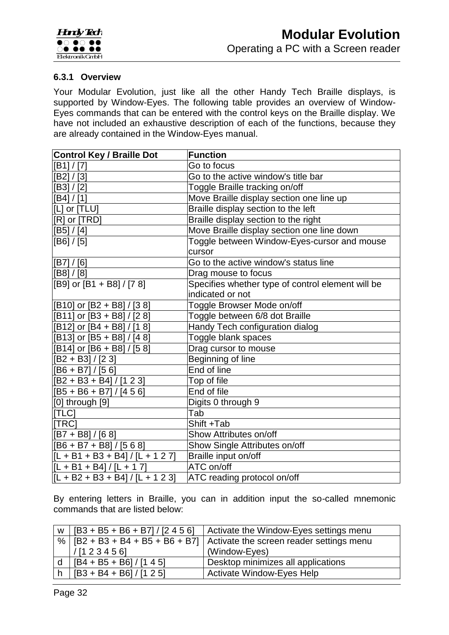

#### <span id="page-31-0"></span>**6.3.1 Overview**

Your Modular Evolution, just like all the other Handy Tech Braille displays, is supported by Window-Eyes. The following table provides an overview of Window-Eyes commands that can be entered with the control keys on the Braille display. We have not included an exhaustive description of each of the functions, because they are already contained in the Window-Eyes manual.

| <b>Control Key / Braille Dot</b> | <b>Function</b>                                       |
|----------------------------------|-------------------------------------------------------|
| [B1]/[7]                         | Go to focus                                           |
| [B2] / [3]                       | Go to the active window's title bar                   |
| [B3] / [2]                       | Toggle Braille tracking on/off                        |
| [B4] / [1]                       | Move Braille display section one line up              |
| [[L] or [TLU]                    | Braille display section to the left                   |
| [R] or [TRD]                     | Braille display section to the right                  |
| [B5] / [4]                       | Move Braille display section one line down            |
| [B6] / [5]                       | Toggle between Window-Eyes-cursor and mouse<br>cursor |
| [B7] / [6]                       | Go to the active window's status line                 |
| [B8] / [8]                       | Drag mouse to focus                                   |
| [B9] or [B1 + B8] / [7 8]        | Specifies whether type of control element will be     |
|                                  | indicated or not                                      |
| [B10] or [B2 + B8] / [3 8]       | Toggle Browser Mode on/off                            |
| [B11] or [B3 + B8] / [2 8]       | Toggle between 6/8 dot Braille                        |
| [B12] or [B4 + B8] / [1 8]       | Handy Tech configuration dialog                       |
| [B13] or [B5 + B8] / [4 8]       | Toggle blank spaces                                   |
| [B14] or [B6 + B8] / [5 8]       | Drag cursor to mouse                                  |
| $[B2 + B3]/[23]$                 | Beginning of line                                     |
| $[IB6 + B7]/[56]$                | End of line                                           |
| $[B2 + B3 + B4]/[1 2 3]$         | Top of file                                           |
| $[IB5 + B6 + B7]/[4 5 6]$        | End of file                                           |
| [0] through [9]                  | Digits 0 through 9                                    |
| [TLC]                            | Tab                                                   |
| [TRC]                            | Shift +Tab                                            |
| $[ B7 + B8]/[68]$                | Show Attributes on/off                                |
| $[BB + B7 + B8]/[568]$           | Show Single Attributes on/off                         |
| $[L + B1 + B3 + B4]/[L + 1 2 7]$ | Braille input on/off                                  |
| $[L + B1 + B4]/[L + 17]$         | ATC on/off                                            |
| $[L + B2 + B3 + B4]/[L + 123]$   | ATC reading protocol on/off                           |

By entering letters in Braille, you can in addition input the so-called mnemonic commands that are listed below:

| W |                              | $\vert$ [B3 + B5 + B6 + B7] / [2 4 5 6] $\vert$ Activate the Window-Eyes settings menu |
|---|------------------------------|----------------------------------------------------------------------------------------|
|   |                              | %   $[1B2 + B3 + B4 + B5 + B6 + B7]$   Activate the screen reader settings menu        |
|   | 1/123456                     | (Window-Eyes)                                                                          |
|   | d   [B4 + B5 + B6] / [1 4 5] | Desktop minimizes all applications                                                     |
|   | $[B3 + B4 + B6]/[1 2 5]$     | Activate Window-Eyes Help                                                              |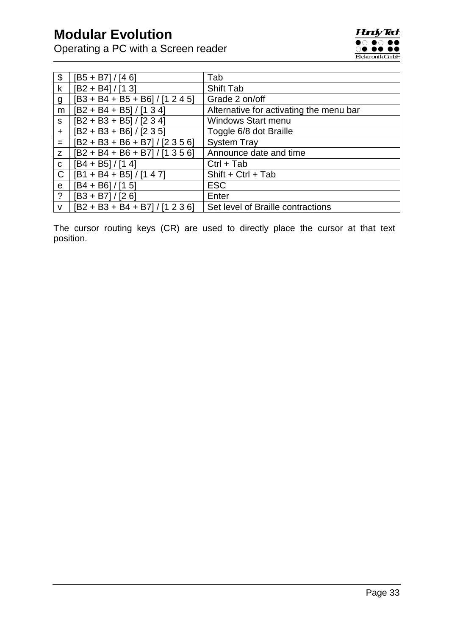Operating a PC with a Screen reader



| \$             | $[B5 + B7]/[4 6]$               | Tab                                     |
|----------------|---------------------------------|-----------------------------------------|
| $\mathsf{k}$   | $[B2 + B4]/[13]$                | Shift Tab                               |
| g              | $[B3 + B4 + B5 + B6]/[1 2 4 5]$ | Grade 2 on/off                          |
| m              | $[B2 + B4 + B5]/[1 3 4]$        | Alternative for activating the menu bar |
| S              | $[B2 + B3 + B5]/[2 3 4]$        | <b>Windows Start menu</b>               |
| $+$            | $[B2 + B3 + B6]/[2 3 5]$        | Toggle 6/8 dot Braille                  |
| $=$            | $[B2 + B3 + B6 + B7]/[2 3 5 6]$ | <b>System Tray</b>                      |
| Z.             | $[B2 + B4 + B6 + B7]/[1 3 5 6]$ | Announce date and time                  |
| $\mathbf C$    | $[B4 + B5]/[14]$                | $Ctrl + Tab$                            |
| $\mathsf C$    | $[B1 + B4 + B5]/[1 4 7]$        | Shift + Ctrl + Tab                      |
| $\mathbf e$    | $[B4 + B6]/[15]$                | <b>ESC</b>                              |
| $\overline{?}$ | $[B3 + B7]/[2 6]$               | Enter                                   |
| V              | $[B2 + B3 + B4 + B7]/[1 2 3 6]$ | Set level of Braille contractions       |

The cursor routing keys (CR) are used to directly place the cursor at that text position.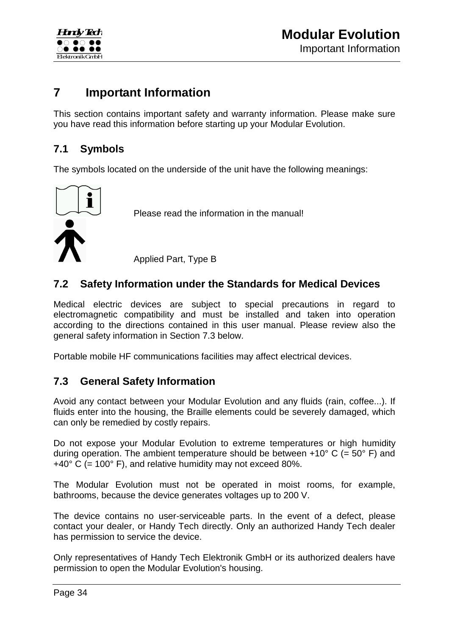

# <span id="page-33-0"></span>**7 Important Information**

This section contains important safety and warranty information. Please make sure you have read this information before starting up your Modular Evolution.

# <span id="page-33-1"></span>**7.1 Symbols**

The symbols located on the underside of the unit have the following meanings:



Please read the information in the manual!

Applied Part, Type B

# <span id="page-33-2"></span>**7.2 Safety Information under the Standards for Medical Devices**

Medical electric devices are subject to special precautions in regard to electromagnetic compatibility and must be installed and taken into operation according to the directions contained in this user manual. Please review also the general safety information in Section [7.3](#page-33-3) below.

<span id="page-33-3"></span>Portable mobile HF communications facilities may affect electrical devices.

# **7.3 General Safety Information**

Avoid any contact between your Modular Evolution and any fluids (rain, coffee...). If fluids enter into the housing, the Braille elements could be severely damaged, which can only be remedied by costly repairs.

Do not expose your Modular Evolution to extreme temperatures or high humidity during operation. The ambient temperature should be between  $+10^{\circ}$  C (= 50° F) and  $+40^{\circ}$  C (= 100 $^{\circ}$  F), and relative humidity may not exceed 80%.

The Modular Evolution must not be operated in moist rooms, for example, bathrooms, because the device generates voltages up to 200 V.

The device contains no user-serviceable parts. In the event of a defect, please contact your dealer, or Handy Tech directly. Only an authorized Handy Tech dealer has permission to service the device.

Only representatives of Handy Tech Elektronik GmbH or its authorized dealers have permission to open the Modular Evolution's housing.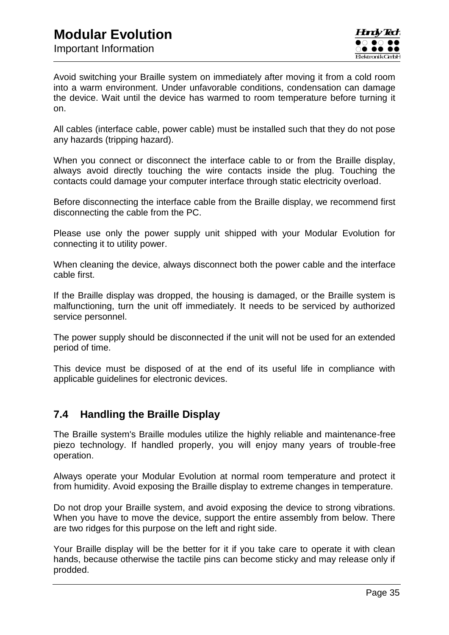# **Modular Evolution** Important Information

Avoid switching your Braille system on immediately after moving it from a cold room into a warm environment. Under unfavorable conditions, condensation can damage the device. Wait until the device has warmed to room temperature before turning it on.

All cables (interface cable, power cable) must be installed such that they do not pose any hazards (tripping hazard).

When you connect or disconnect the interface cable to or from the Braille display, always avoid directly touching the wire contacts inside the plug. Touching the contacts could damage your computer interface through static electricity overload.

Before disconnecting the interface cable from the Braille display, we recommend first disconnecting the cable from the PC.

Please use only the power supply unit shipped with your Modular Evolution for connecting it to utility power.

When cleaning the device, always disconnect both the power cable and the interface cable first.

If the Braille display was dropped, the housing is damaged, or the Braille system is malfunctioning, turn the unit off immediately. It needs to be serviced by authorized service personnel.

The power supply should be disconnected if the unit will not be used for an extended period of time.

This device must be disposed of at the end of its useful life in compliance with applicable guidelines for electronic devices.

### <span id="page-34-0"></span>**7.4 Handling the Braille Display**

The Braille system's Braille modules utilize the highly reliable and maintenance-free piezo technology. If handled properly, you will enjoy many years of trouble-free operation.

Always operate your Modular Evolution at normal room temperature and protect it from humidity. Avoid exposing the Braille display to extreme changes in temperature.

Do not drop your Braille system, and avoid exposing the device to strong vibrations. When you have to move the device, support the entire assembly from below. There are two ridges for this purpose on the left and right side.

Your Braille display will be the better for it if you take care to operate it with clean hands, because otherwise the tactile pins can become sticky and may release only if prodded.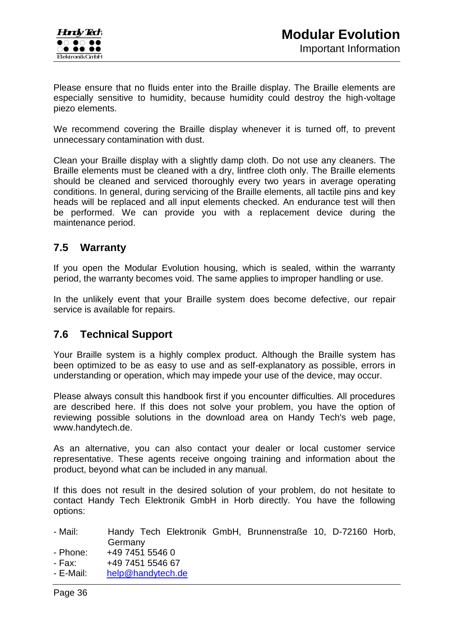

Please ensure that no fluids enter into the Braille display. The Braille elements are especially sensitive to humidity, because humidity could destroy the high-voltage piezo elements.

We recommend covering the Braille display whenever it is turned off, to prevent unnecessary contamination with dust.

Clean your Braille display with a slightly damp cloth. Do not use any cleaners. The Braille elements must be cleaned with a dry, lintfree cloth only. The Braille elements should be cleaned and serviced thoroughly every two years in average operating conditions. In general, during servicing of the Braille elements, all tactile pins and key heads will be replaced and all input elements checked. An endurance test will then be performed. We can provide you with a replacement device during the maintenance period.

### <span id="page-35-0"></span>**7.5 Warranty**

If you open the Modular Evolution housing, which is sealed, within the warranty period, the warranty becomes void. The same applies to improper handling or use.

In the unlikely event that your Braille system does become defective, our repair service is available for repairs.

# <span id="page-35-1"></span>**7.6 Technical Support**

Your Braille system is a highly complex product. Although the Braille system has been optimized to be as easy to use and as self-explanatory as possible, errors in understanding or operation, which may impede your use of the device, may occur.

Please always consult this handbook first if you encounter difficulties. All procedures are described here. If this does not solve your problem, you have the option of reviewing possible solutions in the download area on Handy Tech's web page, www.handytech.de.

As an alternative, you can also contact your dealer or local customer service representative. These agents receive ongoing training and information about the product, beyond what can be included in any manual.

If this does not result in the desired solution of your problem, do not hesitate to contact Handy Tech Elektronik GmbH in Horb directly. You have the following options:

| - Mail: |         |  | Handy Tech Elektronik GmbH, Brunnenstraße 10, D-72160 Horb, |  |  |
|---------|---------|--|-------------------------------------------------------------|--|--|
|         | Germany |  |                                                             |  |  |

- Phone: +49 7451 5546 0
- Fax: +49 7451 5546 67
- E-Mail: [help@handytech.de](mailto:help@handytech.de)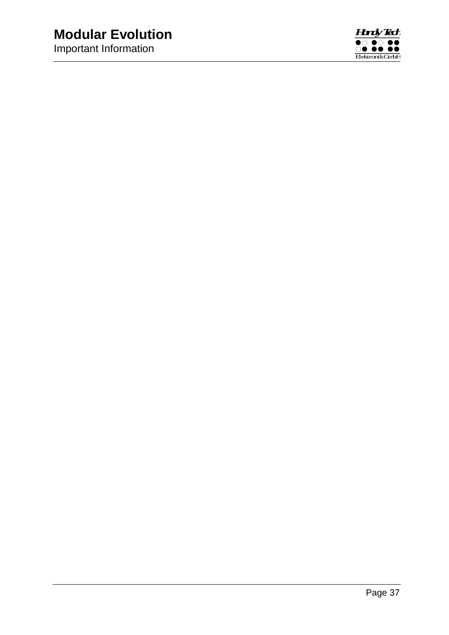# **Modular Evolution**

Important Information

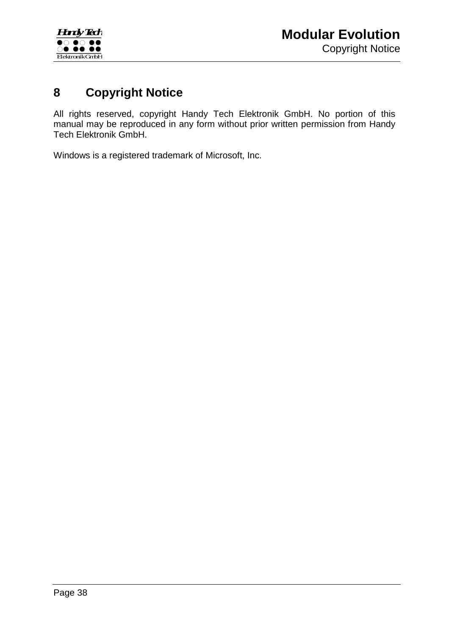

# <span id="page-37-0"></span>**8 Copyright Notice**

All rights reserved, copyright Handy Tech Elektronik GmbH. No portion of this manual may be reproduced in any form without prior written permission from Handy Tech Elektronik GmbH.

Windows is a registered trademark of Microsoft, Inc.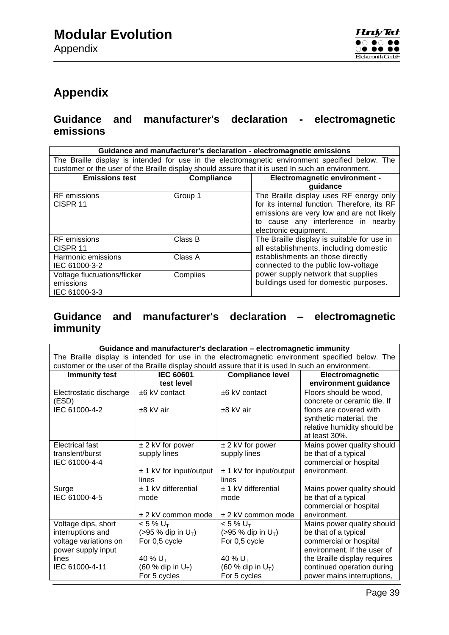# <span id="page-38-0"></span>**Appendix**

# <span id="page-38-1"></span>**Guidance and manufacturer's declaration - electromagnetic emissions**

|                                                    | Guidance and manufacturer's declaration - electromagnetic emissions                             |                                                                                                   |  |  |  |
|----------------------------------------------------|-------------------------------------------------------------------------------------------------|---------------------------------------------------------------------------------------------------|--|--|--|
|                                                    | The Braille display is intended for use in the electromagnetic environment specified below. The |                                                                                                   |  |  |  |
|                                                    |                                                                                                 | customer or the user of the Braille display should assure that it is used In such an environment. |  |  |  |
| <b>Emissions test</b>                              | <b>Compliance</b>                                                                               | Electromagnetic environment -                                                                     |  |  |  |
|                                                    |                                                                                                 | guidance                                                                                          |  |  |  |
| <b>RF</b> emissions                                | Group 1                                                                                         | The Braille display uses RF energy only                                                           |  |  |  |
| CISPR <sub>11</sub>                                |                                                                                                 | for its internal function. Therefore, its RF                                                      |  |  |  |
|                                                    |                                                                                                 | emissions are very low and are not likely                                                         |  |  |  |
|                                                    |                                                                                                 | cause any interference in nearby                                                                  |  |  |  |
|                                                    |                                                                                                 | electronic equipment.                                                                             |  |  |  |
| <b>RF</b> emissions                                | Class B                                                                                         | The Braille display is suitable for use in                                                        |  |  |  |
| CISPR 11                                           |                                                                                                 | all establishments, including domestic                                                            |  |  |  |
| Harmonic emissions                                 | Class A                                                                                         | establishments an those directly                                                                  |  |  |  |
| IEC 61000-3-2                                      |                                                                                                 | connected to the public low-voltage                                                               |  |  |  |
| Voltage fluctuations/flicker                       | power supply network that supplies<br>Complies                                                  |                                                                                                   |  |  |  |
| buildings used for domestic purposes.<br>emissions |                                                                                                 |                                                                                                   |  |  |  |
| IEC 61000-3-3                                      |                                                                                                 |                                                                                                   |  |  |  |

# <span id="page-38-2"></span>**Guidance and manufacturer's declaration – electromagnetic immunity**

| Guidance and manufacturer's declaration - electromagnetic immunity                              |                                    |                                                                                                   |                              |  |  |
|-------------------------------------------------------------------------------------------------|------------------------------------|---------------------------------------------------------------------------------------------------|------------------------------|--|--|
| The Braille display is intended for use in the electromagnetic environment specified below. The |                                    |                                                                                                   |                              |  |  |
|                                                                                                 |                                    | customer or the user of the Braille display should assure that it is used In such an environment. |                              |  |  |
| <b>Immunity test</b>                                                                            | <b>IEC 60601</b>                   | <b>Compliance level</b>                                                                           | <b>Electromagnetic</b>       |  |  |
|                                                                                                 | test level                         |                                                                                                   | environment guidance         |  |  |
| Electrostatic discharge                                                                         | ±6 kV contact                      | $±6$ kV contact                                                                                   | Floors should be wood,       |  |  |
| (ESD)                                                                                           |                                    |                                                                                                   | concrete or ceramic tile. If |  |  |
| IEC 61000-4-2                                                                                   | $±8$ kV air                        | $±8$ kV air                                                                                       | floors are covered with      |  |  |
|                                                                                                 |                                    |                                                                                                   | synthetic material, the      |  |  |
|                                                                                                 |                                    |                                                                                                   | relative humidity should be  |  |  |
|                                                                                                 |                                    |                                                                                                   | at least 30%.                |  |  |
| Electrical fast                                                                                 | $±$ 2 kV for power                 | $±$ 2 kV for power                                                                                | Mains power quality should   |  |  |
| translent/burst                                                                                 | supply lines                       | supply lines                                                                                      | be that of a typical         |  |  |
| IEC 61000-4-4                                                                                   |                                    |                                                                                                   | commercial or hospital       |  |  |
|                                                                                                 | $± 1$ kV for input/output          | $± 1$ kV for input/output                                                                         | environment.                 |  |  |
|                                                                                                 | lines                              | lines                                                                                             |                              |  |  |
| Surge                                                                                           | $± 1$ kV differential              | $± 1$ kV differential                                                                             | Mains power quality should   |  |  |
| IEC 61000-4-5                                                                                   | mode                               | mode                                                                                              | be that of a typical         |  |  |
|                                                                                                 |                                    |                                                                                                   | commercial or hospital       |  |  |
|                                                                                                 | $±$ 2 kV common mode               | ± 2 kV common mode                                                                                | environment.                 |  |  |
| Voltage dips, short                                                                             | $< 5 \% U_T$                       | $< 5 \% U_T$                                                                                      | Mains power quality should   |  |  |
| interruptions and                                                                               | $( > 95 %$ dip in U <sub>T</sub> ) | $( > 95 %$ dip in U <sub>T</sub> )                                                                | be that of a typical         |  |  |
| voltage variations on                                                                           | For 0,5 cycle                      | For 0,5 cycle                                                                                     | commercial or hospital       |  |  |
| power supply input                                                                              |                                    |                                                                                                   | environment. If the user of  |  |  |
| lines                                                                                           | 40 % $U_T$                         | 40 % $U_T$                                                                                        | the Braille display requires |  |  |
| IEC 61000-4-11                                                                                  | (60 % dip in $U_T$ )               | $(60 %$ dip in $U_T$ )                                                                            | continued operation during   |  |  |
|                                                                                                 | For 5 cycles                       | For 5 cycles                                                                                      | power mains interruptions,   |  |  |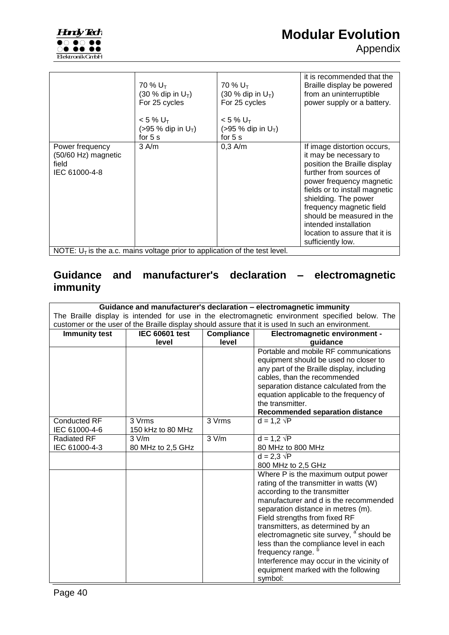# **Modular Evolution**



|                                                                                     | 70 % $U_T$<br>$(30 %$ dip in U <sub>T</sub> )<br>For 25 cycles<br>$< 5 \% U_{T}$<br>$( > 95 %$ dip in U <sub>T</sub> )<br>for $5s$ | 70 % $U_T$<br>$(30 %$ dip in U <sub>T</sub> )<br>For 25 cycles<br>$< 5 \% U_T$<br>$(>95\%$ dip in U <sub>T</sub> )<br>for $5s$ | it is recommended that the<br>Braille display be powered<br>from an uninterruptible<br>power supply or a battery.                                                                                                                                                                                                                             |  |
|-------------------------------------------------------------------------------------|------------------------------------------------------------------------------------------------------------------------------------|--------------------------------------------------------------------------------------------------------------------------------|-----------------------------------------------------------------------------------------------------------------------------------------------------------------------------------------------------------------------------------------------------------------------------------------------------------------------------------------------|--|
| $3 \text{ A/m}$<br>Power frequency<br>(50/60 Hz) magnetic<br>field<br>IEC 61000-4-8 |                                                                                                                                    | $0.3$ A/m                                                                                                                      | If image distortion occurs,<br>it may be necessary to<br>position the Braille display<br>further from sources of<br>power frequency magnetic<br>fields or to install magnetic<br>shielding. The power<br>frequency magnetic field<br>should be measured in the<br>intended installation<br>location to assure that it is<br>sufficiently low. |  |
| NOTE: $U_T$ is the a.c. mains voltage prior to application of the test level.       |                                                                                                                                    |                                                                                                                                |                                                                                                                                                                                                                                                                                                                                               |  |

# <span id="page-39-0"></span>**Guidance and manufacturer's declaration – electromagnetic immunity**

|                                                                                                   |                             |                   | Guidance and manufacturer's declaration - electromagnetic immunity                                                                                                                                                                                                                                                                                                                                                                                                                     |  |  |  |
|---------------------------------------------------------------------------------------------------|-----------------------------|-------------------|----------------------------------------------------------------------------------------------------------------------------------------------------------------------------------------------------------------------------------------------------------------------------------------------------------------------------------------------------------------------------------------------------------------------------------------------------------------------------------------|--|--|--|
| The Braille display is intended for use in the electromagnetic environment specified below. The   |                             |                   |                                                                                                                                                                                                                                                                                                                                                                                                                                                                                        |  |  |  |
| customer or the user of the Braille display should assure that it is used In such an environment. |                             |                   |                                                                                                                                                                                                                                                                                                                                                                                                                                                                                        |  |  |  |
| <b>Immunity test</b>                                                                              | <b>IEC 60601 test</b>       | <b>Compliance</b> | <b>Electromagnetic environment -</b>                                                                                                                                                                                                                                                                                                                                                                                                                                                   |  |  |  |
|                                                                                                   | level                       | level             | guidance                                                                                                                                                                                                                                                                                                                                                                                                                                                                               |  |  |  |
|                                                                                                   |                             |                   | Portable and mobile RF communications<br>equipment should be used no closer to<br>any part of the Braille display, including<br>cables, than the recommended<br>separation distance calculated from the<br>equation applicable to the frequency of<br>the transmitter.<br><b>Recommended separation distance</b>                                                                                                                                                                       |  |  |  |
| <b>Conducted RF</b><br>IEC 61000-4-6                                                              | 3 Vrms<br>150 kHz to 80 MHz | 3 Vrms            | $d = 1.2 \sqrt{P}$                                                                                                                                                                                                                                                                                                                                                                                                                                                                     |  |  |  |
| <b>Radiated RF</b><br>IEC 61000-4-3                                                               | 3 V/m<br>80 MHz to 2,5 GHz  | 3 V/m             | $d = 1.2 \sqrt{P}$<br>80 MHz to 800 MHz                                                                                                                                                                                                                                                                                                                                                                                                                                                |  |  |  |
|                                                                                                   |                             |                   | $d = 2.3 \sqrt{P}$<br>800 MHz to 2,5 GHz                                                                                                                                                                                                                                                                                                                                                                                                                                               |  |  |  |
|                                                                                                   |                             |                   | Where P is the maximum output power<br>rating of the transmitter in watts (W)<br>according to the transmitter<br>manufacturer and d is the recommended<br>separation distance in metres (m).<br>Field strengths from fixed RF<br>transmitters, as determined by an<br>electromagnetic site survey, <sup>a</sup> should be<br>less than the compliance level in each<br>frequency range.<br>Interference may occur in the vicinity of<br>equipment marked with the following<br>symbol: |  |  |  |